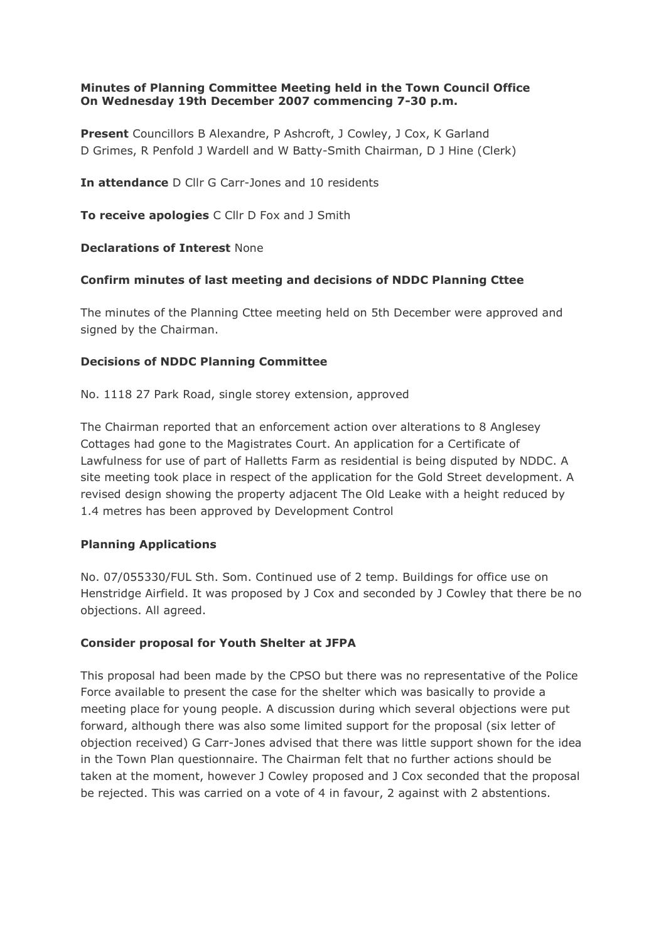# **Minutes of Planning Committee Meeting held in the Town Council Office On Wednesday 19th December 2007 commencing 7-30 p.m.**

**Present** Councillors B Alexandre, P Ashcroft, J Cowley, J Cox, K Garland D Grimes, R Penfold J Wardell and W Batty-Smith Chairman, D J Hine (Clerk)

**In attendance** D Cllr G Carr-Jones and 10 residents

**To receive apologies** C Cllr D Fox and J Smith

**Declarations of Interest** None

# **Confirm minutes of last meeting and decisions of NDDC Planning Cttee**

The minutes of the Planning Cttee meeting held on 5th December were approved and signed by the Chairman.

# **Decisions of NDDC Planning Committee**

No. 1118 27 Park Road, single storey extension, approved

The Chairman reported that an enforcement action over alterations to 8 Anglesey Cottages had gone to the Magistrates Court. An application for a Certificate of Lawfulness for use of part of Halletts Farm as residential is being disputed by NDDC. A site meeting took place in respect of the application for the Gold Street development. A revised design showing the property adjacent The Old Leake with a height reduced by 1.4 metres has been approved by Development Control

# **Planning Applications**

No. 07/055330/FUL Sth. Som. Continued use of 2 temp. Buildings for office use on Henstridge Airfield. It was proposed by J Cox and seconded by J Cowley that there be no objections. All agreed.

# **Consider proposal for Youth Shelter at JFPA**

This proposal had been made by the CPSO but there was no representative of the Police Force available to present the case for the shelter which was basically to provide a meeting place for young people. A discussion during which several objections were put forward, although there was also some limited support for the proposal (six letter of objection received) G Carr-Jones advised that there was little support shown for the idea in the Town Plan questionnaire. The Chairman felt that no further actions should be taken at the moment, however J Cowley proposed and J Cox seconded that the proposal be rejected. This was carried on a vote of 4 in favour, 2 against with 2 abstentions.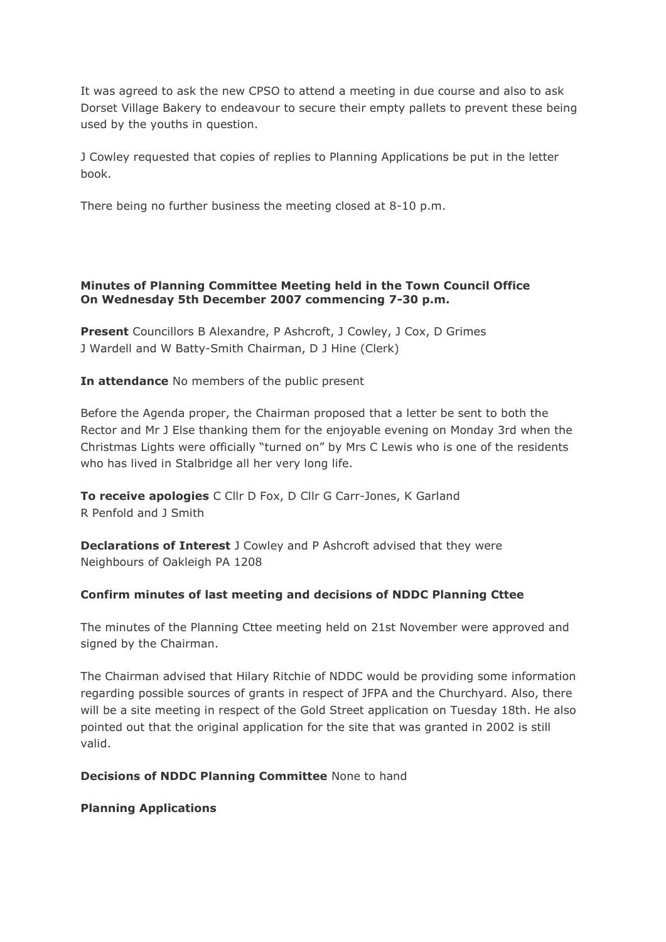It was agreed to ask the new CPSO to attend a meeting in due course and also to ask Dorset Village Bakery to endeavour to secure their empty pallets to prevent these being used by the youths in question.

J Cowley requested that copies of replies to Planning Applications be put in the letter book.

There being no further business the meeting closed at 8-10 p.m.

# **Minutes of Planning Committee Meeting held in the Town Council Office On Wednesday 5th December 2007 commencing 7-30 p.m.**

**Present** Councillors B Alexandre, P Ashcroft, J Cowley, J Cox, D Grimes J Wardell and W Batty-Smith Chairman, D J Hine (Clerk)

**In attendance** No members of the public present

Before the Agenda proper, the Chairman proposed that a letter be sent to both the Rector and Mr J Else thanking them for the enjoyable evening on Monday 3rd when the Christmas Lights were officially "turned on" by Mrs C Lewis who is one of the residents who has lived in Stalbridge all her very long life.

**To receive apologies** C Cllr D Fox, D Cllr G Carr-Jones, K Garland R Penfold and J Smith

**Declarations of Interest** J Cowley and P Ashcroft advised that they were Neighbours of Oakleigh PA 1208

# **Confirm minutes of last meeting and decisions of NDDC Planning Cttee**

The minutes of the Planning Cttee meeting held on 21st November were approved and signed by the Chairman.

The Chairman advised that Hilary Ritchie of NDDC would be providing some information regarding possible sources of grants in respect of JFPA and the Churchyard. Also, there will be a site meeting in respect of the Gold Street application on Tuesday 18th. He also pointed out that the original application for the site that was granted in 2002 is still valid.

**Decisions of NDDC Planning Committee** None to hand

# **Planning Applications**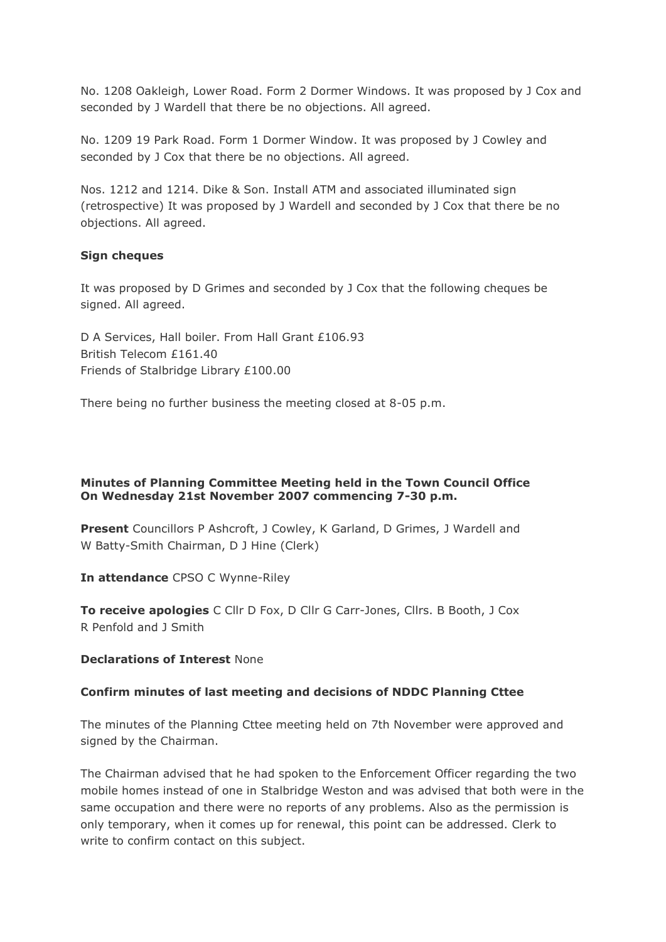No. 1208 Oakleigh, Lower Road. Form 2 Dormer Windows. It was proposed by J Cox and seconded by J Wardell that there be no objections. All agreed.

No. 1209 19 Park Road. Form 1 Dormer Window. It was proposed by J Cowley and seconded by J Cox that there be no objections. All agreed.

Nos. 1212 and 1214. Dike & Son. Install ATM and associated illuminated sign (retrospective) It was proposed by J Wardell and seconded by J Cox that there be no objections. All agreed.

#### **Sign cheques**

It was proposed by D Grimes and seconded by J Cox that the following cheques be signed. All agreed.

D A Services, Hall boiler. From Hall Grant £106.93 British Telecom £161.40 Friends of Stalbridge Library £100.00

There being no further business the meeting closed at 8-05 p.m.

# **Minutes of Planning Committee Meeting held in the Town Council Office On Wednesday 21st November 2007 commencing 7-30 p.m.**

**Present** Councillors P Ashcroft, J Cowley, K Garland, D Grimes, J Wardell and W Batty-Smith Chairman, D J Hine (Clerk)

**In attendance** CPSO C Wynne-Riley

**To receive apologies** C Cllr D Fox, D Cllr G Carr-Jones, Cllrs. B Booth, J Cox R Penfold and J Smith

#### **Declarations of Interest** None

# **Confirm minutes of last meeting and decisions of NDDC Planning Cttee**

The minutes of the Planning Cttee meeting held on 7th November were approved and signed by the Chairman.

The Chairman advised that he had spoken to the Enforcement Officer regarding the two mobile homes instead of one in Stalbridge Weston and was advised that both were in the same occupation and there were no reports of any problems. Also as the permission is only temporary, when it comes up for renewal, this point can be addressed. Clerk to write to confirm contact on this subject.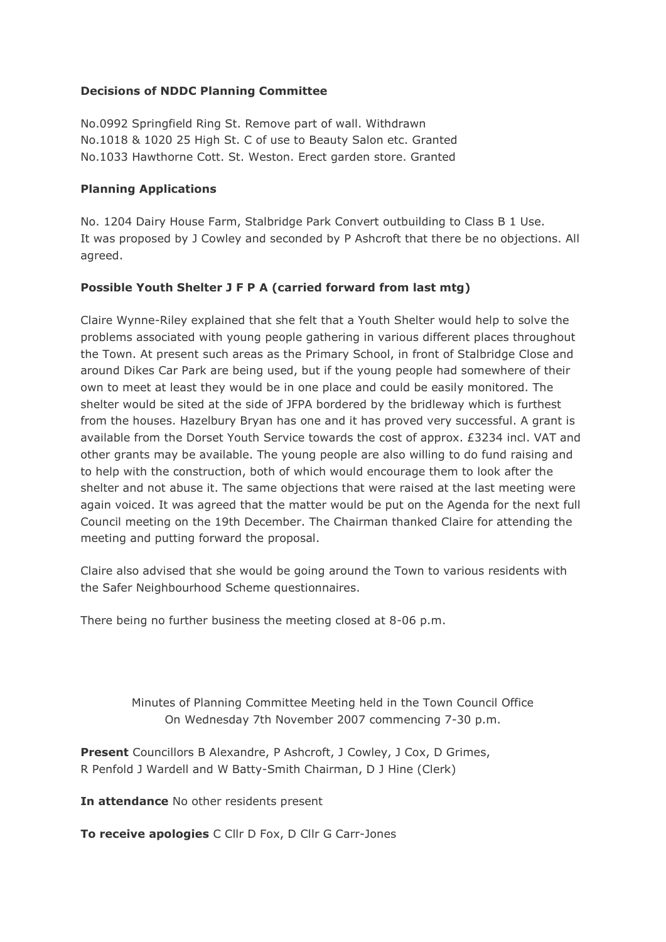# **Decisions of NDDC Planning Committee**

No.0992 Springfield Ring St. Remove part of wall. Withdrawn No.1018 & 1020 25 High St. C of use to Beauty Salon etc. Granted No.1033 Hawthorne Cott. St. Weston. Erect garden store. Granted

#### **Planning Applications**

No. 1204 Dairy House Farm, Stalbridge Park Convert outbuilding to Class B 1 Use. It was proposed by J Cowley and seconded by P Ashcroft that there be no objections. All agreed.

#### **Possible Youth Shelter J F P A (carried forward from last mtg)**

Claire Wynne-Riley explained that she felt that a Youth Shelter would help to solve the problems associated with young people gathering in various different places throughout the Town. At present such areas as the Primary School, in front of Stalbridge Close and around Dikes Car Park are being used, but if the young people had somewhere of their own to meet at least they would be in one place and could be easily monitored. The shelter would be sited at the side of JFPA bordered by the bridleway which is furthest from the houses. Hazelbury Bryan has one and it has proved very successful. A grant is available from the Dorset Youth Service towards the cost of approx. £3234 incl. VAT and other grants may be available. The young people are also willing to do fund raising and to help with the construction, both of which would encourage them to look after the shelter and not abuse it. The same objections that were raised at the last meeting were again voiced. It was agreed that the matter would be put on the Agenda for the next full Council meeting on the 19th December. The Chairman thanked Claire for attending the meeting and putting forward the proposal.

Claire also advised that she would be going around the Town to various residents with the Safer Neighbourhood Scheme questionnaires.

There being no further business the meeting closed at 8-06 p.m.

Minutes of Planning Committee Meeting held in the Town Council Office On Wednesday 7th November 2007 commencing 7-30 p.m.

**Present** Councillors B Alexandre, P Ashcroft, J Cowley, J Cox, D Grimes, R Penfold J Wardell and W Batty-Smith Chairman, D J Hine (Clerk)

**In attendance** No other residents present

**To receive apologies** C Cllr D Fox, D Cllr G Carr-Jones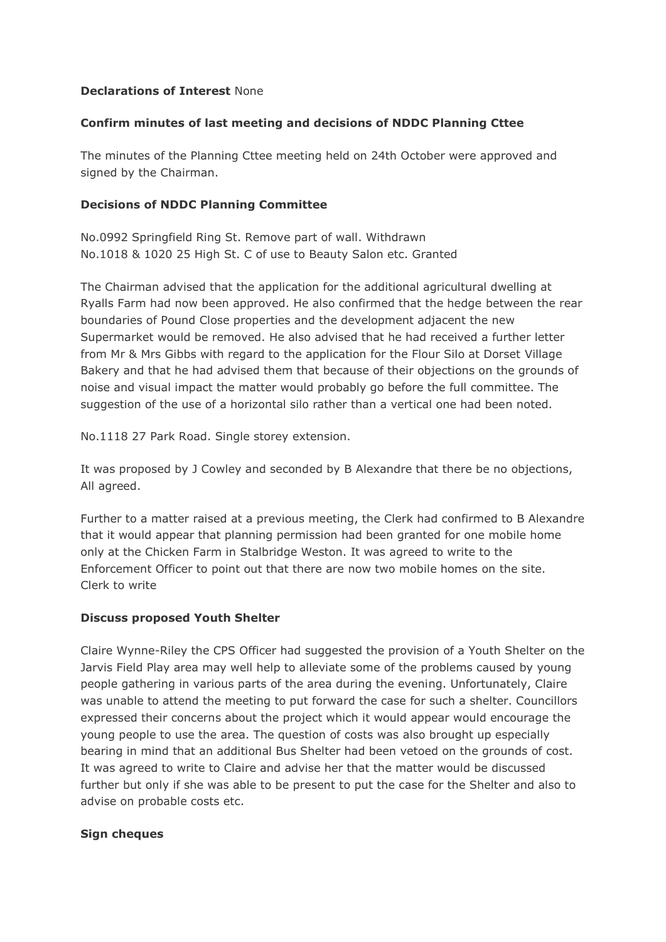# **Declarations of Interest** None

# **Confirm minutes of last meeting and decisions of NDDC Planning Cttee**

The minutes of the Planning Cttee meeting held on 24th October were approved and signed by the Chairman.

#### **Decisions of NDDC Planning Committee**

No.0992 Springfield Ring St. Remove part of wall. Withdrawn No.1018 & 1020 25 High St. C of use to Beauty Salon etc. Granted

The Chairman advised that the application for the additional agricultural dwelling at Ryalls Farm had now been approved. He also confirmed that the hedge between the rear boundaries of Pound Close properties and the development adjacent the new Supermarket would be removed. He also advised that he had received a further letter from Mr & Mrs Gibbs with regard to the application for the Flour Silo at Dorset Village Bakery and that he had advised them that because of their objections on the grounds of noise and visual impact the matter would probably go before the full committee. The suggestion of the use of a horizontal silo rather than a vertical one had been noted.

No.1118 27 Park Road. Single storey extension.

It was proposed by J Cowley and seconded by B Alexandre that there be no objections, All agreed.

Further to a matter raised at a previous meeting, the Clerk had confirmed to B Alexandre that it would appear that planning permission had been granted for one mobile home only at the Chicken Farm in Stalbridge Weston. It was agreed to write to the Enforcement Officer to point out that there are now two mobile homes on the site. Clerk to write

#### **Discuss proposed Youth Shelter**

Claire Wynne-Riley the CPS Officer had suggested the provision of a Youth Shelter on the Jarvis Field Play area may well help to alleviate some of the problems caused by young people gathering in various parts of the area during the evening. Unfortunately, Claire was unable to attend the meeting to put forward the case for such a shelter. Councillors expressed their concerns about the project which it would appear would encourage the young people to use the area. The question of costs was also brought up especially bearing in mind that an additional Bus Shelter had been vetoed on the grounds of cost. It was agreed to write to Claire and advise her that the matter would be discussed further but only if she was able to be present to put the case for the Shelter and also to advise on probable costs etc.

#### **Sign cheques**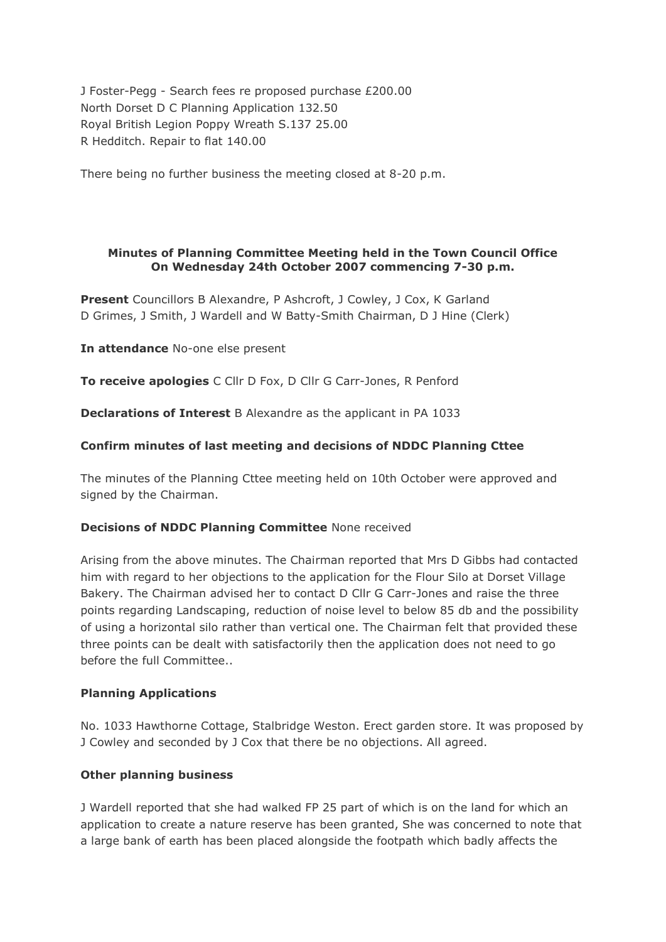J Foster-Pegg - Search fees re proposed purchase £200.00 North Dorset D C Planning Application 132.50 Royal British Legion Poppy Wreath S.137 25.00 R Hedditch. Repair to flat 140.00

There being no further business the meeting closed at 8-20 p.m.

#### **Minutes of Planning Committee Meeting held in the Town Council Office On Wednesday 24th October 2007 commencing 7-30 p.m.**

**Present** Councillors B Alexandre, P Ashcroft, J Cowley, J Cox, K Garland D Grimes, J Smith, J Wardell and W Batty-Smith Chairman, D J Hine (Clerk)

**In attendance** No-one else present

**To receive apologies** C Cllr D Fox, D Cllr G Carr-Jones, R Penford

**Declarations of Interest** B Alexandre as the applicant in PA 1033

# **Confirm minutes of last meeting and decisions of NDDC Planning Cttee**

The minutes of the Planning Cttee meeting held on 10th October were approved and signed by the Chairman.

#### **Decisions of NDDC Planning Committee** None received

Arising from the above minutes. The Chairman reported that Mrs D Gibbs had contacted him with regard to her objections to the application for the Flour Silo at Dorset Village Bakery. The Chairman advised her to contact D Cllr G Carr-Jones and raise the three points regarding Landscaping, reduction of noise level to below 85 db and the possibility of using a horizontal silo rather than vertical one. The Chairman felt that provided these three points can be dealt with satisfactorily then the application does not need to go before the full Committee..

#### **Planning Applications**

No. 1033 Hawthorne Cottage, Stalbridge Weston. Erect garden store. It was proposed by J Cowley and seconded by J Cox that there be no objections. All agreed.

# **Other planning business**

J Wardell reported that she had walked FP 25 part of which is on the land for which an application to create a nature reserve has been granted, She was concerned to note that a large bank of earth has been placed alongside the footpath which badly affects the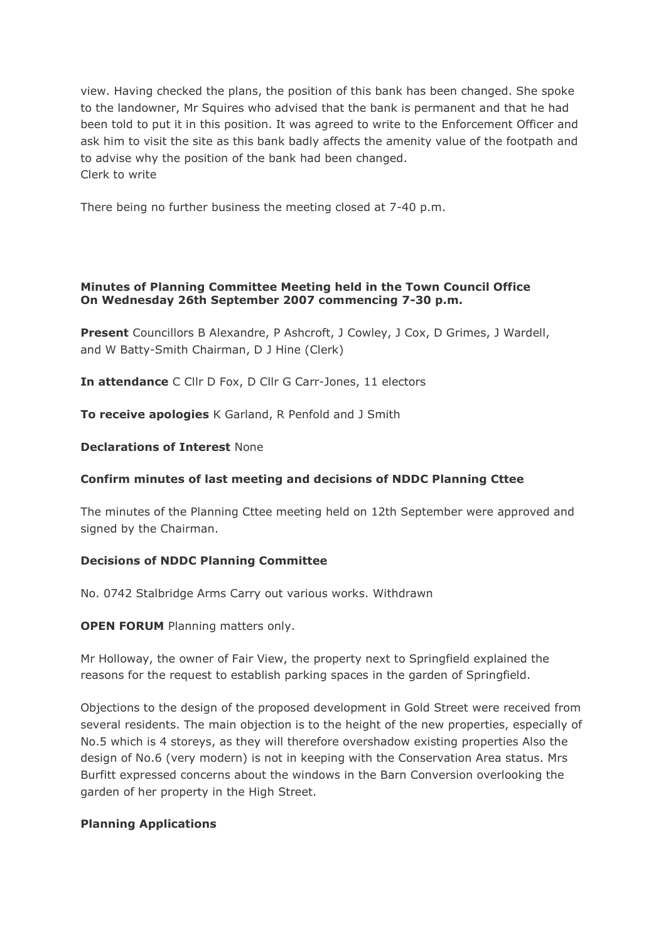view. Having checked the plans, the position of this bank has been changed. She spoke to the landowner, Mr Squires who advised that the bank is permanent and that he had been told to put it in this position. It was agreed to write to the Enforcement Officer and ask him to visit the site as this bank badly affects the amenity value of the footpath and to advise why the position of the bank had been changed. Clerk to write

There being no further business the meeting closed at 7-40 p.m.

#### **Minutes of Planning Committee Meeting held in the Town Council Office On Wednesday 26th September 2007 commencing 7-30 p.m.**

**Present** Councillors B Alexandre, P Ashcroft, J Cowley, J Cox, D Grimes, J Wardell, and W Batty-Smith Chairman, D J Hine (Clerk)

**In attendance** C Cllr D Fox, D Cllr G Carr-Jones, 11 electors

**To receive apologies** K Garland, R Penfold and J Smith

#### **Declarations of Interest** None

# **Confirm minutes of last meeting and decisions of NDDC Planning Cttee**

The minutes of the Planning Cttee meeting held on 12th September were approved and signed by the Chairman.

#### **Decisions of NDDC Planning Committee**

No. 0742 Stalbridge Arms Carry out various works. Withdrawn

**OPEN FORUM** Planning matters only.

Mr Holloway, the owner of Fair View, the property next to Springfield explained the reasons for the request to establish parking spaces in the garden of Springfield.

Objections to the design of the proposed development in Gold Street were received from several residents. The main objection is to the height of the new properties, especially of No.5 which is 4 storeys, as they will therefore overshadow existing properties Also the design of No.6 (very modern) is not in keeping with the Conservation Area status. Mrs Burfitt expressed concerns about the windows in the Barn Conversion overlooking the garden of her property in the High Street.

# **Planning Applications**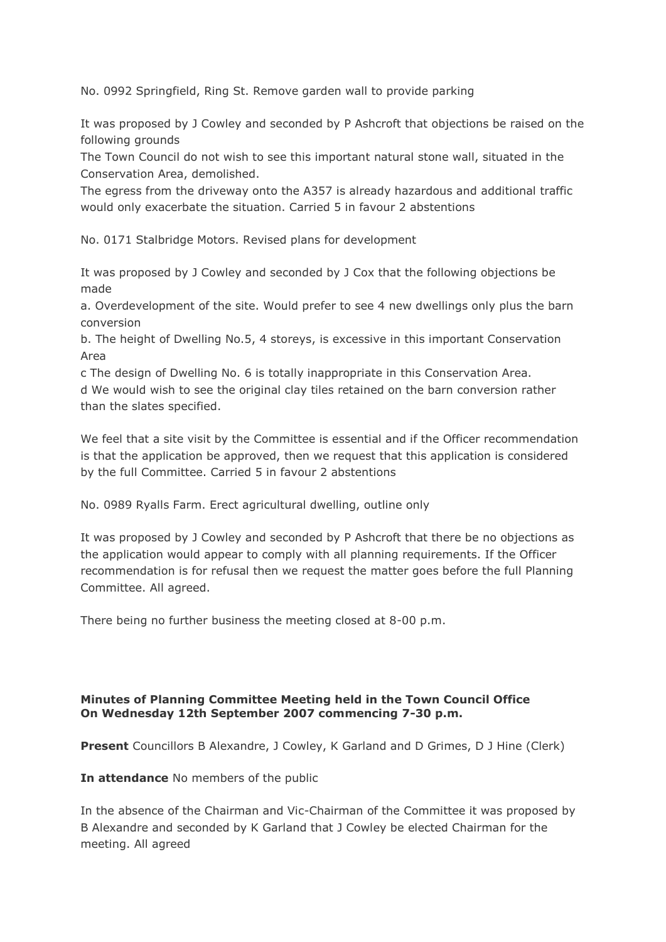No. 0992 Springfield, Ring St. Remove garden wall to provide parking

It was proposed by J Cowley and seconded by P Ashcroft that objections be raised on the following grounds

The Town Council do not wish to see this important natural stone wall, situated in the Conservation Area, demolished.

The egress from the driveway onto the A357 is already hazardous and additional traffic would only exacerbate the situation. Carried 5 in favour 2 abstentions

No. 0171 Stalbridge Motors. Revised plans for development

It was proposed by J Cowley and seconded by J Cox that the following objections be made

a. Overdevelopment of the site. Would prefer to see 4 new dwellings only plus the barn conversion

b. The height of Dwelling No.5, 4 storeys, is excessive in this important Conservation Area

c The design of Dwelling No. 6 is totally inappropriate in this Conservation Area. d We would wish to see the original clay tiles retained on the barn conversion rather than the slates specified.

We feel that a site visit by the Committee is essential and if the Officer recommendation is that the application be approved, then we request that this application is considered by the full Committee. Carried 5 in favour 2 abstentions

No. 0989 Ryalls Farm. Erect agricultural dwelling, outline only

It was proposed by J Cowley and seconded by P Ashcroft that there be no objections as the application would appear to comply with all planning requirements. If the Officer recommendation is for refusal then we request the matter goes before the full Planning Committee. All agreed.

There being no further business the meeting closed at 8-00 p.m.

# **Minutes of Planning Committee Meeting held in the Town Council Office On Wednesday 12th September 2007 commencing 7-30 p.m.**

**Present** Councillors B Alexandre, J Cowley, K Garland and D Grimes, D J Hine (Clerk)

**In attendance** No members of the public

In the absence of the Chairman and Vic-Chairman of the Committee it was proposed by B Alexandre and seconded by K Garland that J Cowley be elected Chairman for the meeting. All agreed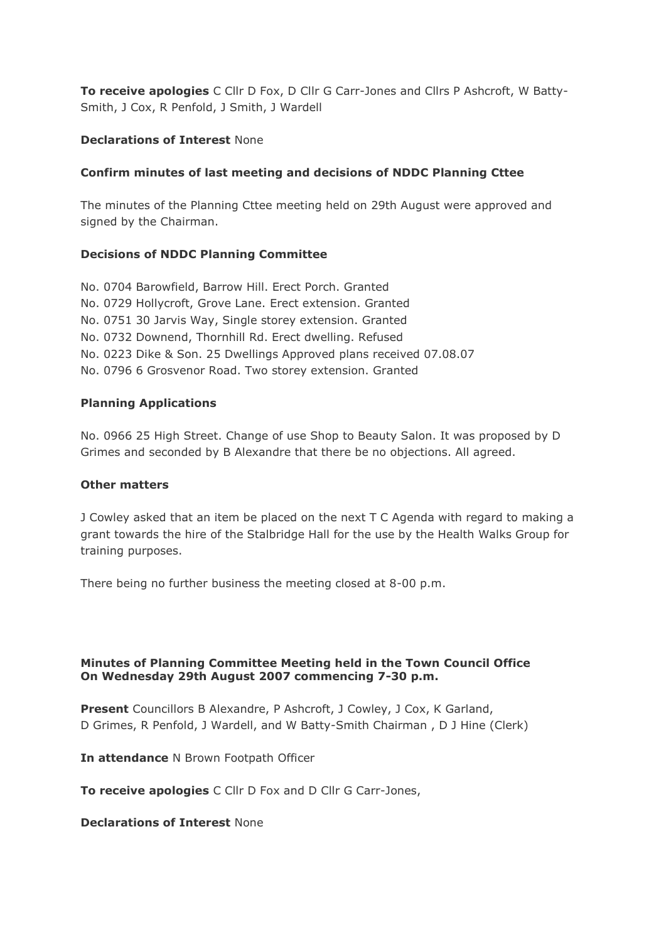**To receive apologies** C Cllr D Fox, D Cllr G Carr-Jones and Cllrs P Ashcroft, W Batty-Smith, J Cox, R Penfold, J Smith, J Wardell

#### **Declarations of Interest** None

#### **Confirm minutes of last meeting and decisions of NDDC Planning Cttee**

The minutes of the Planning Cttee meeting held on 29th August were approved and signed by the Chairman.

#### **Decisions of NDDC Planning Committee**

No. 0704 Barowfield, Barrow Hill. Erect Porch. Granted No. 0729 Hollycroft, Grove Lane. Erect extension. Granted No. 0751 30 Jarvis Way, Single storey extension. Granted No. 0732 Downend, Thornhill Rd. Erect dwelling. Refused No. 0223 Dike & Son. 25 Dwellings Approved plans received 07.08.07 No. 0796 6 Grosvenor Road. Two storey extension. Granted

#### **Planning Applications**

No. 0966 25 High Street. Change of use Shop to Beauty Salon. It was proposed by D Grimes and seconded by B Alexandre that there be no objections. All agreed.

#### **Other matters**

J Cowley asked that an item be placed on the next T C Agenda with regard to making a grant towards the hire of the Stalbridge Hall for the use by the Health Walks Group for training purposes.

There being no further business the meeting closed at 8-00 p.m.

#### **Minutes of Planning Committee Meeting held in the Town Council Office On Wednesday 29th August 2007 commencing 7-30 p.m.**

**Present** Councillors B Alexandre, P Ashcroft, J Cowley, J Cox, K Garland, D Grimes, R Penfold, J Wardell, and W Batty-Smith Chairman , D J Hine (Clerk)

**In attendance** N Brown Footpath Officer

**To receive apologies** C Cllr D Fox and D Cllr G Carr-Jones,

#### **Declarations of Interest** None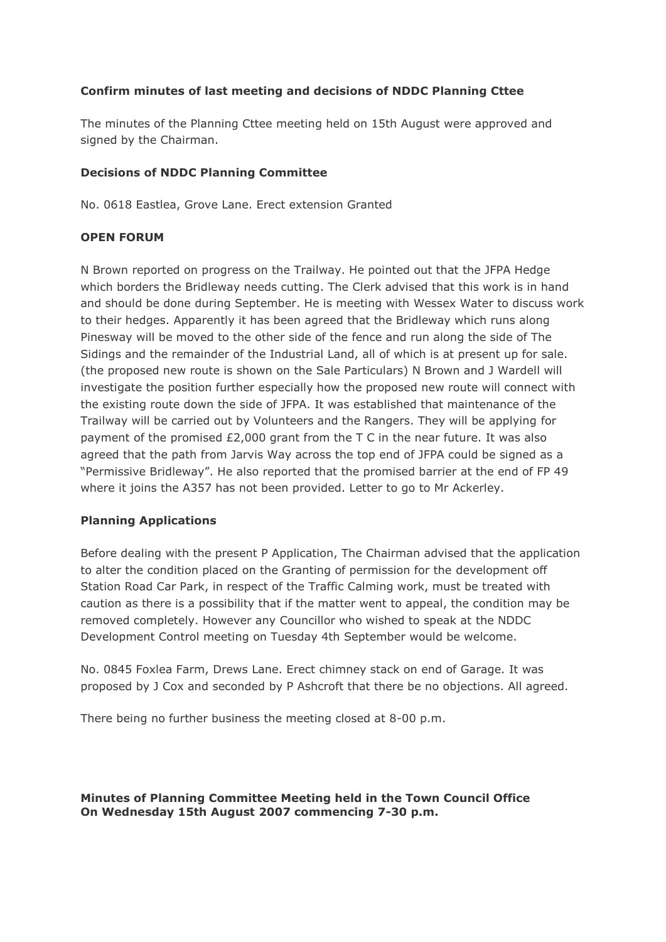# **Confirm minutes of last meeting and decisions of NDDC Planning Cttee**

The minutes of the Planning Cttee meeting held on 15th August were approved and signed by the Chairman.

#### **Decisions of NDDC Planning Committee**

No. 0618 Eastlea, Grove Lane. Erect extension Granted

#### **OPEN FORUM**

N Brown reported on progress on the Trailway. He pointed out that the JFPA Hedge which borders the Bridleway needs cutting. The Clerk advised that this work is in hand and should be done during September. He is meeting with Wessex Water to discuss work to their hedges. Apparently it has been agreed that the Bridleway which runs along Pinesway will be moved to the other side of the fence and run along the side of The Sidings and the remainder of the Industrial Land, all of which is at present up for sale. (the proposed new route is shown on the Sale Particulars) N Brown and J Wardell will investigate the position further especially how the proposed new route will connect with the existing route down the side of JFPA. It was established that maintenance of the Trailway will be carried out by Volunteers and the Rangers. They will be applying for payment of the promised £2,000 grant from the T C in the near future. It was also agreed that the path from Jarvis Way across the top end of JFPA could be signed as a "Permissive Bridleway". He also reported that the promised barrier at the end of FP 49 where it joins the A357 has not been provided. Letter to go to Mr Ackerley.

# **Planning Applications**

Before dealing with the present P Application, The Chairman advised that the application to alter the condition placed on the Granting of permission for the development off Station Road Car Park, in respect of the Traffic Calming work, must be treated with caution as there is a possibility that if the matter went to appeal, the condition may be removed completely. However any Councillor who wished to speak at the NDDC Development Control meeting on Tuesday 4th September would be welcome.

No. 0845 Foxlea Farm, Drews Lane. Erect chimney stack on end of Garage. It was proposed by J Cox and seconded by P Ashcroft that there be no objections. All agreed.

There being no further business the meeting closed at 8-00 p.m.

**Minutes of Planning Committee Meeting held in the Town Council Office On Wednesday 15th August 2007 commencing 7-30 p.m.**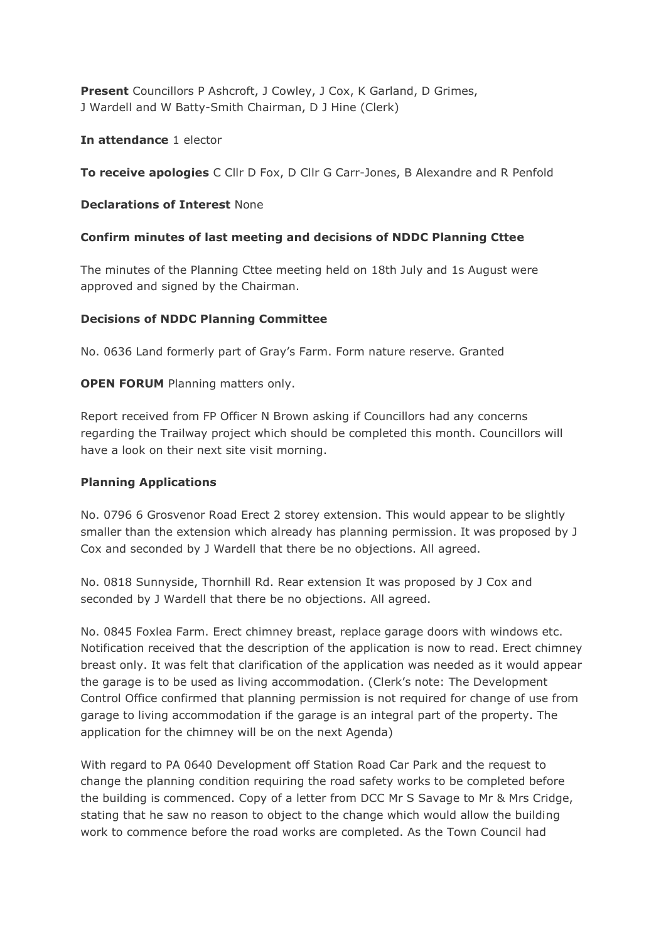**Present** Councillors P Ashcroft, J Cowley, J Cox, K Garland, D Grimes, J Wardell and W Batty-Smith Chairman, D J Hine (Clerk)

**In attendance** 1 elector

**To receive apologies** C Cllr D Fox, D Cllr G Carr-Jones, B Alexandre and R Penfold

#### **Declarations of Interest** None

#### **Confirm minutes of last meeting and decisions of NDDC Planning Cttee**

The minutes of the Planning Cttee meeting held on 18th July and 1s August were approved and signed by the Chairman.

#### **Decisions of NDDC Planning Committee**

No. 0636 Land formerly part of Gray's Farm. Form nature reserve. Granted

#### **OPEN FORUM** Planning matters only.

Report received from FP Officer N Brown asking if Councillors had any concerns regarding the Trailway project which should be completed this month. Councillors will have a look on their next site visit morning.

#### **Planning Applications**

No. 0796 6 Grosvenor Road Erect 2 storey extension. This would appear to be slightly smaller than the extension which already has planning permission. It was proposed by J Cox and seconded by J Wardell that there be no objections. All agreed.

No. 0818 Sunnyside, Thornhill Rd. Rear extension It was proposed by J Cox and seconded by J Wardell that there be no objections. All agreed.

No. 0845 Foxlea Farm. Erect chimney breast, replace garage doors with windows etc. Notification received that the description of the application is now to read. Erect chimney breast only. It was felt that clarification of the application was needed as it would appear the garage is to be used as living accommodation. (Clerk's note: The Development Control Office confirmed that planning permission is not required for change of use from garage to living accommodation if the garage is an integral part of the property. The application for the chimney will be on the next Agenda)

With regard to PA 0640 Development off Station Road Car Park and the request to change the planning condition requiring the road safety works to be completed before the building is commenced. Copy of a letter from DCC Mr S Savage to Mr & Mrs Cridge, stating that he saw no reason to object to the change which would allow the building work to commence before the road works are completed. As the Town Council had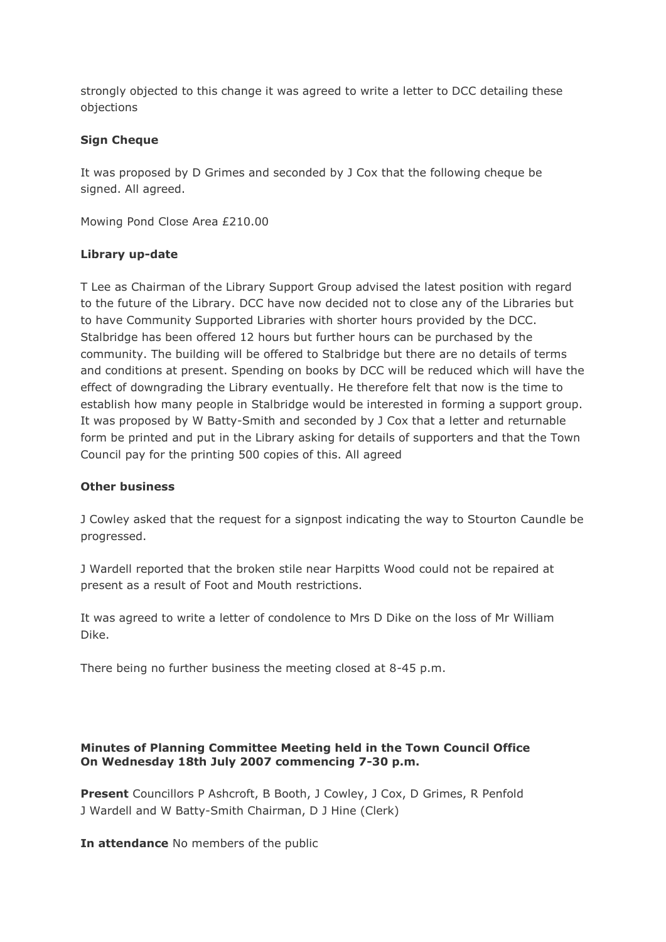strongly objected to this change it was agreed to write a letter to DCC detailing these objections

# **Sign Cheque**

It was proposed by D Grimes and seconded by J Cox that the following cheque be signed. All agreed.

Mowing Pond Close Area £210.00

#### **Library up-date**

T Lee as Chairman of the Library Support Group advised the latest position with regard to the future of the Library. DCC have now decided not to close any of the Libraries but to have Community Supported Libraries with shorter hours provided by the DCC. Stalbridge has been offered 12 hours but further hours can be purchased by the community. The building will be offered to Stalbridge but there are no details of terms and conditions at present. Spending on books by DCC will be reduced which will have the effect of downgrading the Library eventually. He therefore felt that now is the time to establish how many people in Stalbridge would be interested in forming a support group. It was proposed by W Batty-Smith and seconded by J Cox that a letter and returnable form be printed and put in the Library asking for details of supporters and that the Town Council pay for the printing 500 copies of this. All agreed

#### **Other business**

J Cowley asked that the request for a signpost indicating the way to Stourton Caundle be progressed.

J Wardell reported that the broken stile near Harpitts Wood could not be repaired at present as a result of Foot and Mouth restrictions.

It was agreed to write a letter of condolence to Mrs D Dike on the loss of Mr William Dike.

There being no further business the meeting closed at 8-45 p.m.

#### **Minutes of Planning Committee Meeting held in the Town Council Office On Wednesday 18th July 2007 commencing 7-30 p.m.**

**Present** Councillors P Ashcroft, B Booth, J Cowley, J Cox, D Grimes, R Penfold J Wardell and W Batty-Smith Chairman, D J Hine (Clerk)

**In attendance** No members of the public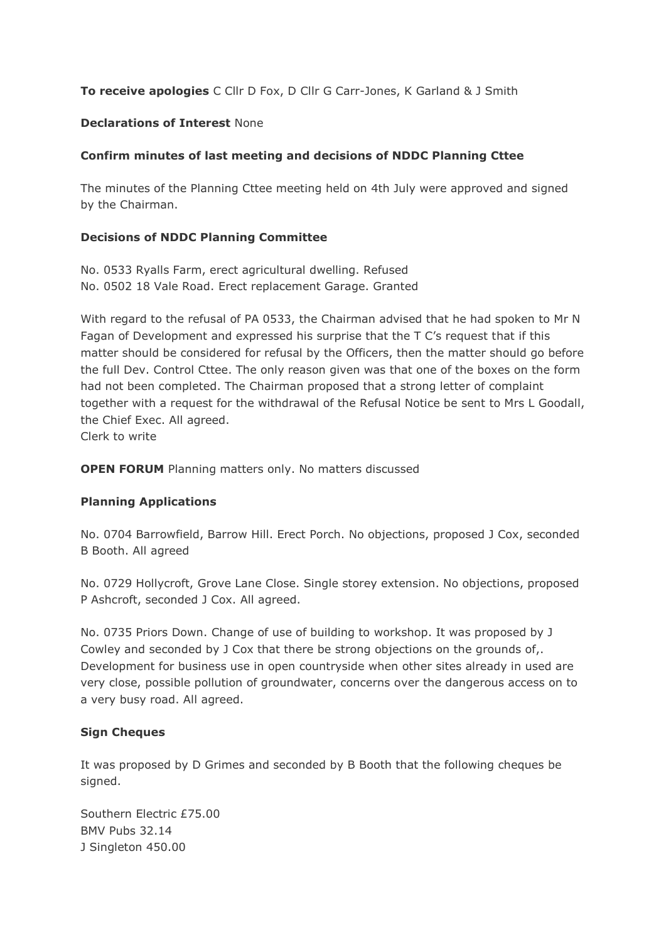# **To receive apologies** C Cllr D Fox, D Cllr G Carr-Jones, K Garland & J Smith

#### **Declarations of Interest** None

# **Confirm minutes of last meeting and decisions of NDDC Planning Cttee**

The minutes of the Planning Cttee meeting held on 4th July were approved and signed by the Chairman.

#### **Decisions of NDDC Planning Committee**

No. 0533 Ryalls Farm, erect agricultural dwelling. Refused No. 0502 18 Vale Road. Erect replacement Garage. Granted

With regard to the refusal of PA 0533, the Chairman advised that he had spoken to Mr N Fagan of Development and expressed his surprise that the T C's request that if this matter should be considered for refusal by the Officers, then the matter should go before the full Dev. Control Cttee. The only reason given was that one of the boxes on the form had not been completed. The Chairman proposed that a strong letter of complaint together with a request for the withdrawal of the Refusal Notice be sent to Mrs L Goodall, the Chief Exec. All agreed.

Clerk to write

**OPEN FORUM** Planning matters only. No matters discussed

# **Planning Applications**

No. 0704 Barrowfield, Barrow Hill. Erect Porch. No objections, proposed J Cox, seconded B Booth. All agreed

No. 0729 Hollycroft, Grove Lane Close. Single storey extension. No objections, proposed P Ashcroft, seconded J Cox. All agreed.

No. 0735 Priors Down. Change of use of building to workshop. It was proposed by J Cowley and seconded by J Cox that there be strong objections on the grounds of,. Development for business use in open countryside when other sites already in used are very close, possible pollution of groundwater, concerns over the dangerous access on to a very busy road. All agreed.

#### **Sign Cheques**

It was proposed by D Grimes and seconded by B Booth that the following cheques be signed.

Southern Electric £75.00 BMV Pubs 32.14 J Singleton 450.00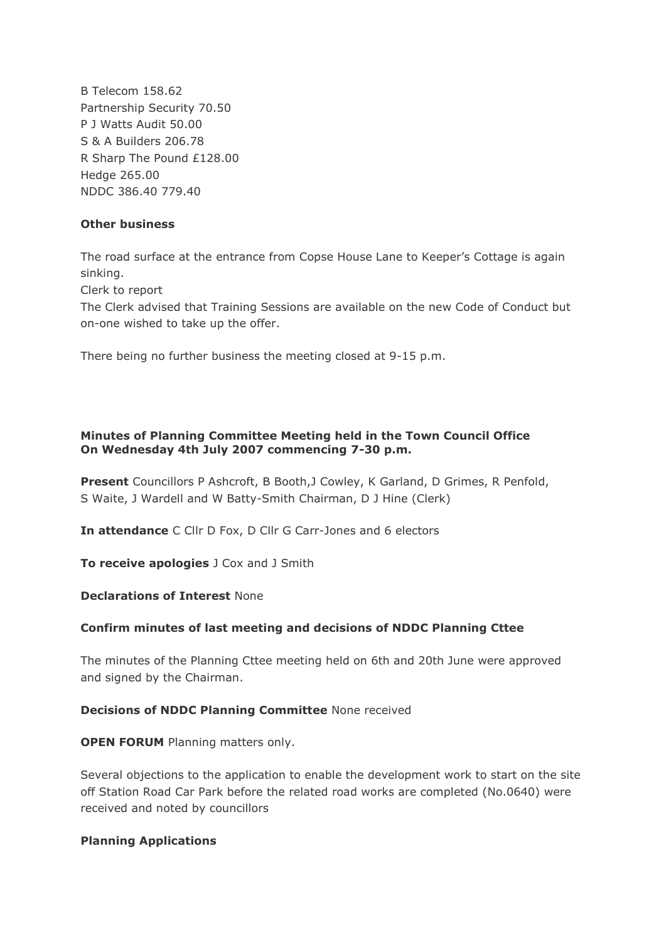B Telecom 158.62 Partnership Security 70.50 P J Watts Audit 50.00 S & A Builders 206.78 R Sharp The Pound £128.00 Hedge 265.00 NDDC 386.40 779.40

# **Other business**

The road surface at the entrance from Copse House Lane to Keeper's Cottage is again sinking.

Clerk to report

The Clerk advised that Training Sessions are available on the new Code of Conduct but on-one wished to take up the offer.

There being no further business the meeting closed at 9-15 p.m.

# **Minutes of Planning Committee Meeting held in the Town Council Office On Wednesday 4th July 2007 commencing 7-30 p.m.**

**Present** Councillors P Ashcroft, B Booth,J Cowley, K Garland, D Grimes, R Penfold, S Waite, J Wardell and W Batty-Smith Chairman, D J Hine (Clerk)

**In attendance** C Cllr D Fox, D Cllr G Carr-Jones and 6 electors

**To receive apologies** J Cox and J Smith

**Declarations of Interest** None

# **Confirm minutes of last meeting and decisions of NDDC Planning Cttee**

The minutes of the Planning Cttee meeting held on 6th and 20th June were approved and signed by the Chairman.

#### **Decisions of NDDC Planning Committee** None received

**OPEN FORUM** Planning matters only.

Several objections to the application to enable the development work to start on the site off Station Road Car Park before the related road works are completed (No.0640) were received and noted by councillors

# **Planning Applications**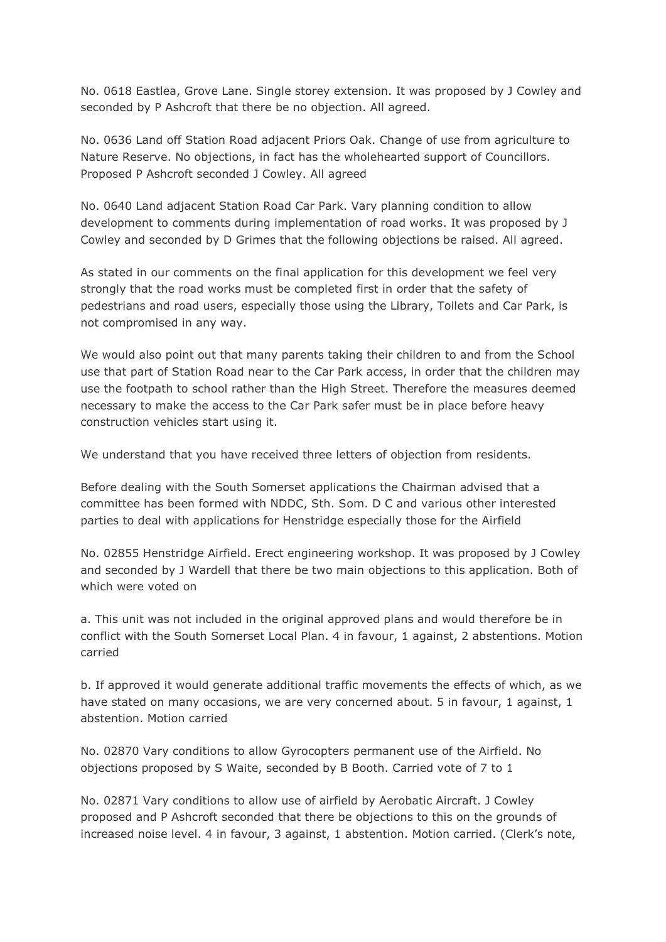No. 0618 Eastlea, Grove Lane. Single storey extension. It was proposed by J Cowley and seconded by P Ashcroft that there be no objection. All agreed.

No. 0636 Land off Station Road adjacent Priors Oak. Change of use from agriculture to Nature Reserve. No objections, in fact has the wholehearted support of Councillors. Proposed P Ashcroft seconded J Cowley. All agreed

No. 0640 Land adjacent Station Road Car Park. Vary planning condition to allow development to comments during implementation of road works. It was proposed by J Cowley and seconded by D Grimes that the following objections be raised. All agreed.

As stated in our comments on the final application for this development we feel very strongly that the road works must be completed first in order that the safety of pedestrians and road users, especially those using the Library, Toilets and Car Park, is not compromised in any way.

We would also point out that many parents taking their children to and from the School use that part of Station Road near to the Car Park access, in order that the children may use the footpath to school rather than the High Street. Therefore the measures deemed necessary to make the access to the Car Park safer must be in place before heavy construction vehicles start using it.

We understand that you have received three letters of objection from residents.

Before dealing with the South Somerset applications the Chairman advised that a committee has been formed with NDDC, Sth. Som. D C and various other interested parties to deal with applications for Henstridge especially those for the Airfield

No. 02855 Henstridge Airfield. Erect engineering workshop. It was proposed by J Cowley and seconded by J Wardell that there be two main objections to this application. Both of which were voted on

a. This unit was not included in the original approved plans and would therefore be in conflict with the South Somerset Local Plan. 4 in favour, 1 against, 2 abstentions. Motion carried

b. If approved it would generate additional traffic movements the effects of which, as we have stated on many occasions, we are very concerned about. 5 in favour, 1 against, 1 abstention. Motion carried

No. 02870 Vary conditions to allow Gyrocopters permanent use of the Airfield. No objections proposed by S Waite, seconded by B Booth. Carried vote of 7 to 1

No. 02871 Vary conditions to allow use of airfield by Aerobatic Aircraft. J Cowley proposed and P Ashcroft seconded that there be objections to this on the grounds of increased noise level. 4 in favour, 3 against, 1 abstention. Motion carried. (Clerk's note,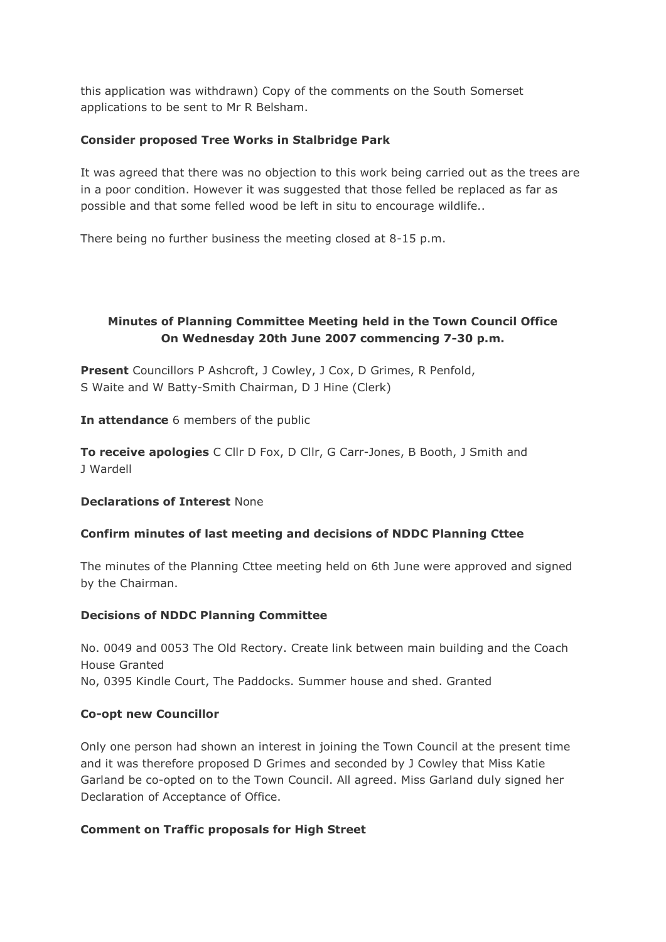this application was withdrawn) Copy of the comments on the South Somerset applications to be sent to Mr R Belsham.

# **Consider proposed Tree Works in Stalbridge Park**

It was agreed that there was no objection to this work being carried out as the trees are in a poor condition. However it was suggested that those felled be replaced as far as possible and that some felled wood be left in situ to encourage wildlife..

There being no further business the meeting closed at 8-15 p.m.

# **Minutes of Planning Committee Meeting held in the Town Council Office On Wednesday 20th June 2007 commencing 7-30 p.m.**

**Present** Councillors P Ashcroft, J Cowley, J Cox, D Grimes, R Penfold, S Waite and W Batty-Smith Chairman, D J Hine (Clerk)

**In attendance** 6 members of the public

**To receive apologies** C Cllr D Fox, D Cllr, G Carr-Jones, B Booth, J Smith and J Wardell

# **Declarations of Interest** None

# **Confirm minutes of last meeting and decisions of NDDC Planning Cttee**

The minutes of the Planning Cttee meeting held on 6th June were approved and signed by the Chairman.

# **Decisions of NDDC Planning Committee**

No. 0049 and 0053 The Old Rectory. Create link between main building and the Coach House Granted No, 0395 Kindle Court, The Paddocks. Summer house and shed. Granted

# **Co-opt new Councillor**

Only one person had shown an interest in joining the Town Council at the present time and it was therefore proposed D Grimes and seconded by J Cowley that Miss Katie Garland be co-opted on to the Town Council. All agreed. Miss Garland duly signed her Declaration of Acceptance of Office.

# **Comment on Traffic proposals for High Street**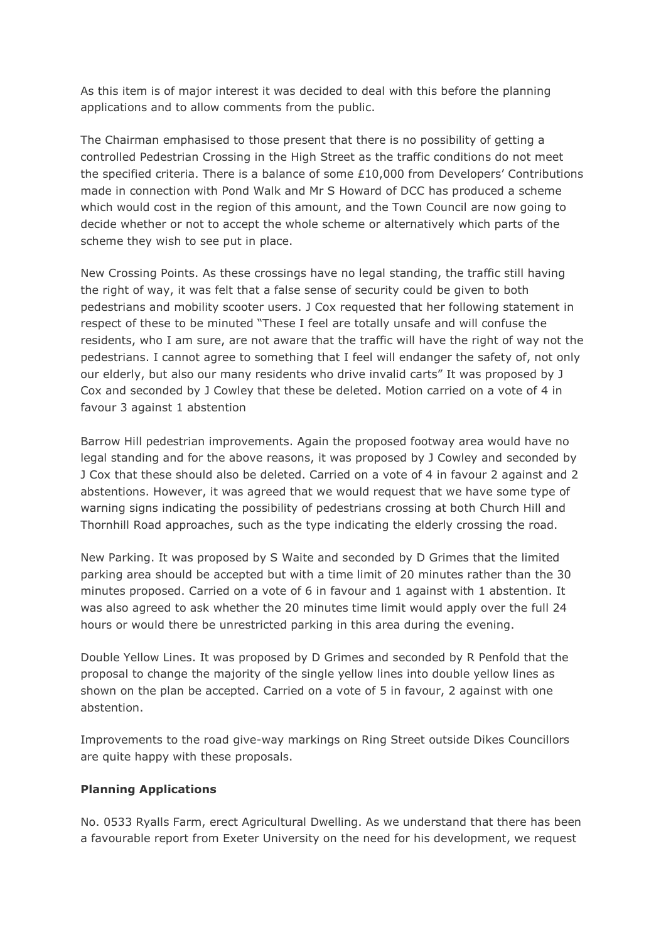As this item is of major interest it was decided to deal with this before the planning applications and to allow comments from the public.

The Chairman emphasised to those present that there is no possibility of getting a controlled Pedestrian Crossing in the High Street as the traffic conditions do not meet the specified criteria. There is a balance of some £10,000 from Developers' Contributions made in connection with Pond Walk and Mr S Howard of DCC has produced a scheme which would cost in the region of this amount, and the Town Council are now going to decide whether or not to accept the whole scheme or alternatively which parts of the scheme they wish to see put in place.

New Crossing Points. As these crossings have no legal standing, the traffic still having the right of way, it was felt that a false sense of security could be given to both pedestrians and mobility scooter users. J Cox requested that her following statement in respect of these to be minuted "These I feel are totally unsafe and will confuse the residents, who I am sure, are not aware that the traffic will have the right of way not the pedestrians. I cannot agree to something that I feel will endanger the safety of, not only our elderly, but also our many residents who drive invalid carts" It was proposed by J Cox and seconded by J Cowley that these be deleted. Motion carried on a vote of 4 in favour 3 against 1 abstention

Barrow Hill pedestrian improvements. Again the proposed footway area would have no legal standing and for the above reasons, it was proposed by J Cowley and seconded by J Cox that these should also be deleted. Carried on a vote of 4 in favour 2 against and 2 abstentions. However, it was agreed that we would request that we have some type of warning signs indicating the possibility of pedestrians crossing at both Church Hill and Thornhill Road approaches, such as the type indicating the elderly crossing the road.

New Parking. It was proposed by S Waite and seconded by D Grimes that the limited parking area should be accepted but with a time limit of 20 minutes rather than the 30 minutes proposed. Carried on a vote of 6 in favour and 1 against with 1 abstention. It was also agreed to ask whether the 20 minutes time limit would apply over the full 24 hours or would there be unrestricted parking in this area during the evening.

Double Yellow Lines. It was proposed by D Grimes and seconded by R Penfold that the proposal to change the majority of the single yellow lines into double yellow lines as shown on the plan be accepted. Carried on a vote of 5 in favour, 2 against with one abstention.

Improvements to the road give-way markings on Ring Street outside Dikes Councillors are quite happy with these proposals.

# **Planning Applications**

No. 0533 Ryalls Farm, erect Agricultural Dwelling. As we understand that there has been a favourable report from Exeter University on the need for his development, we request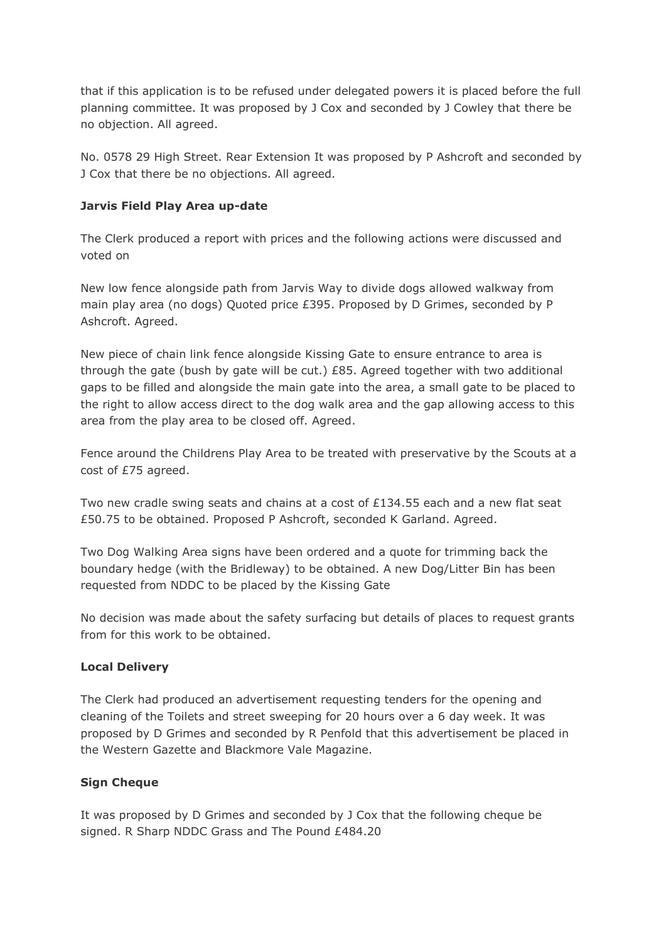that if this application is to be refused under delegated powers it is placed before the full planning committee. It was proposed by J Cox and seconded by J Cowley that there be no objection. All agreed.

No. 0578 29 High Street. Rear Extension It was proposed by P Ashcroft and seconded by J Cox that there be no objections. All agreed.

#### **Jarvis Field Play Area up-date**

The Clerk produced a report with prices and the following actions were discussed and voted on

New low fence alongside path from Jarvis Way to divide dogs allowed walkway from main play area (no dogs) Quoted price £395. Proposed by D Grimes, seconded by P Ashcroft. Agreed.

New piece of chain link fence alongside Kissing Gate to ensure entrance to area is through the gate (bush by gate will be cut.) £85. Agreed together with two additional gaps to be filled and alongside the main gate into the area, a small gate to be placed to the right to allow access direct to the dog walk area and the gap allowing access to this area from the play area to be closed off. Agreed.

Fence around the Childrens Play Area to be treated with preservative by the Scouts at a cost of £75 agreed.

Two new cradle swing seats and chains at a cost of £134.55 each and a new flat seat £50.75 to be obtained. Proposed P Ashcroft, seconded K Garland. Agreed.

Two Dog Walking Area signs have been ordered and a quote for trimming back the boundary hedge (with the Bridleway) to be obtained. A new Dog/Litter Bin has been requested from NDDC to be placed by the Kissing Gate

No decision was made about the safety surfacing but details of places to request grants from for this work to be obtained.

#### **Local Delivery**

The Clerk had produced an advertisement requesting tenders for the opening and cleaning of the Toilets and street sweeping for 20 hours over a 6 day week. It was proposed by D Grimes and seconded by R Penfold that this advertisement be placed in the Western Gazette and Blackmore Vale Magazine.

#### **Sign Cheque**

It was proposed by D Grimes and seconded by J Cox that the following cheque be signed. R Sharp NDDC Grass and The Pound £484.20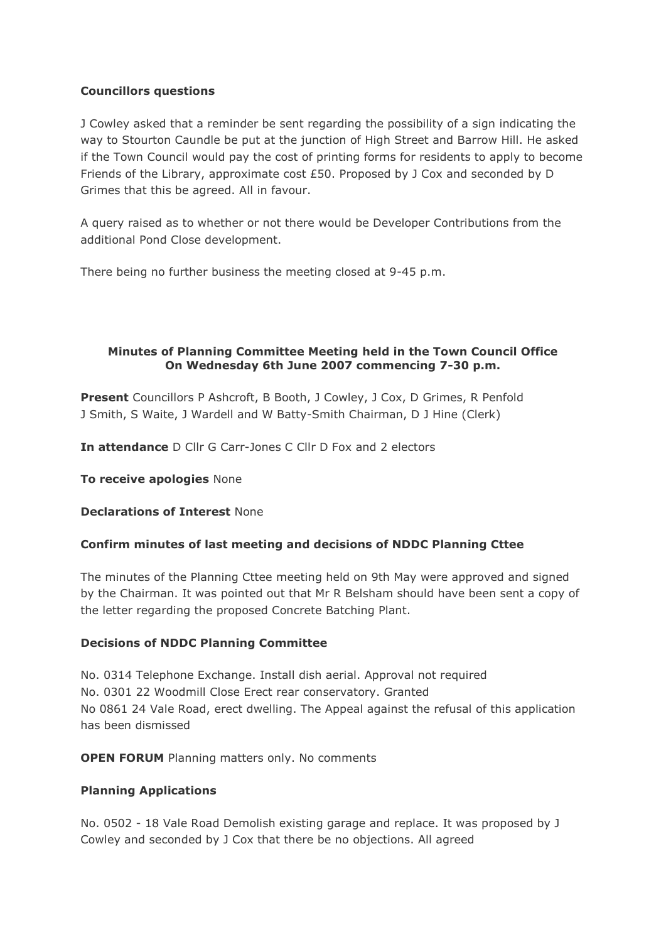# **Councillors questions**

J Cowley asked that a reminder be sent regarding the possibility of a sign indicating the way to Stourton Caundle be put at the junction of High Street and Barrow Hill. He asked if the Town Council would pay the cost of printing forms for residents to apply to become Friends of the Library, approximate cost £50. Proposed by J Cox and seconded by D Grimes that this be agreed. All in favour.

A query raised as to whether or not there would be Developer Contributions from the additional Pond Close development.

There being no further business the meeting closed at 9-45 p.m.

# **Minutes of Planning Committee Meeting held in the Town Council Office On Wednesday 6th June 2007 commencing 7-30 p.m.**

**Present** Councillors P Ashcroft, B Booth, J Cowley, J Cox, D Grimes, R Penfold J Smith, S Waite, J Wardell and W Batty-Smith Chairman, D J Hine (Clerk)

**In attendance** D Cllr G Carr-Jones C Cllr D Fox and 2 electors

**To receive apologies** None

**Declarations of Interest** None

# **Confirm minutes of last meeting and decisions of NDDC Planning Cttee**

The minutes of the Planning Cttee meeting held on 9th May were approved and signed by the Chairman. It was pointed out that Mr R Belsham should have been sent a copy of the letter regarding the proposed Concrete Batching Plant.

# **Decisions of NDDC Planning Committee**

No. 0314 Telephone Exchange. Install dish aerial. Approval not required No. 0301 22 Woodmill Close Erect rear conservatory. Granted No 0861 24 Vale Road, erect dwelling. The Appeal against the refusal of this application has been dismissed

**OPEN FORUM** Planning matters only. No comments

# **Planning Applications**

No. 0502 - 18 Vale Road Demolish existing garage and replace. It was proposed by J Cowley and seconded by J Cox that there be no objections. All agreed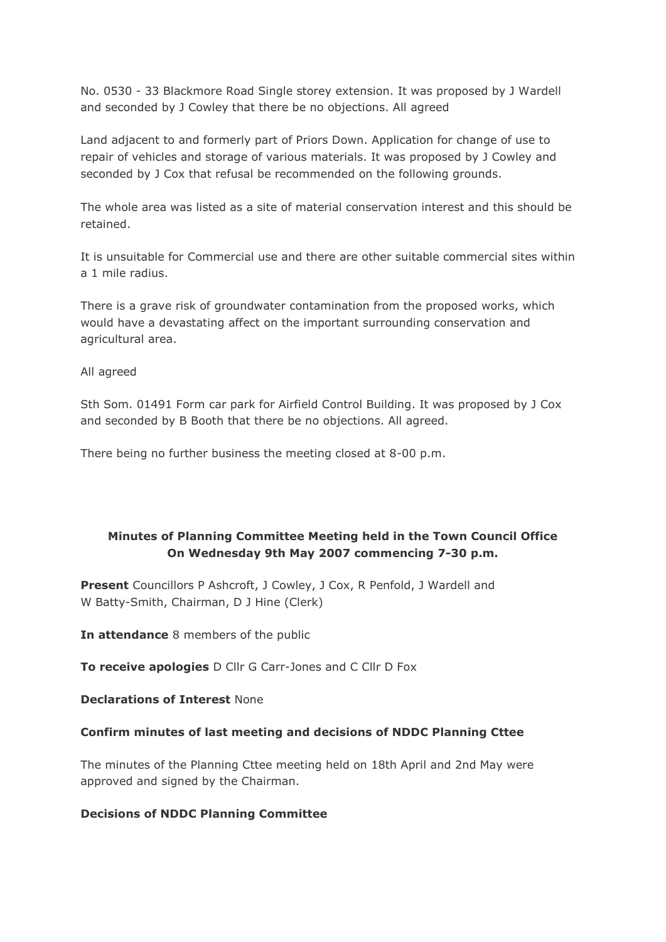No. 0530 - 33 Blackmore Road Single storey extension. It was proposed by J Wardell and seconded by J Cowley that there be no objections. All agreed

Land adjacent to and formerly part of Priors Down. Application for change of use to repair of vehicles and storage of various materials. It was proposed by J Cowley and seconded by J Cox that refusal be recommended on the following grounds.

The whole area was listed as a site of material conservation interest and this should be retained.

It is unsuitable for Commercial use and there are other suitable commercial sites within a 1 mile radius.

There is a grave risk of groundwater contamination from the proposed works, which would have a devastating affect on the important surrounding conservation and agricultural area.

All agreed

Sth Som. 01491 Form car park for Airfield Control Building. It was proposed by J Cox and seconded by B Booth that there be no objections. All agreed.

There being no further business the meeting closed at 8-00 p.m.

# **Minutes of Planning Committee Meeting held in the Town Council Office On Wednesday 9th May 2007 commencing 7-30 p.m.**

**Present** Councillors P Ashcroft, J Cowley, J Cox, R Penfold, J Wardell and W Batty-Smith, Chairman, D J Hine (Clerk)

**In attendance** 8 members of the public

**To receive apologies** D Cllr G Carr-Jones and C Cllr D Fox

**Declarations of Interest** None

# **Confirm minutes of last meeting and decisions of NDDC Planning Cttee**

The minutes of the Planning Cttee meeting held on 18th April and 2nd May were approved and signed by the Chairman.

# **Decisions of NDDC Planning Committee**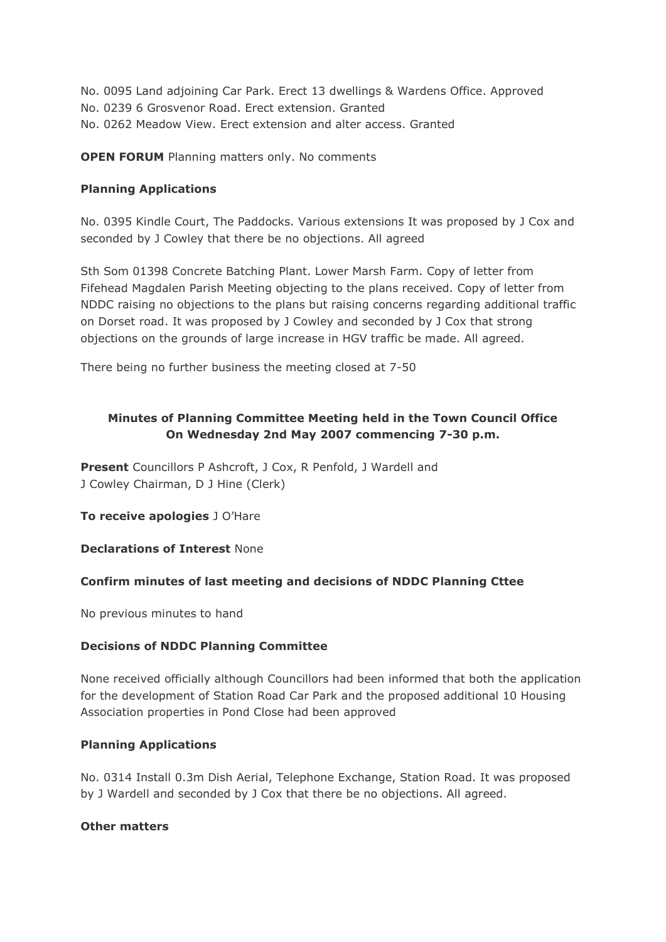No. 0095 Land adjoining Car Park. Erect 13 dwellings & Wardens Office. Approved No. 0239 6 Grosvenor Road. Erect extension. Granted No. 0262 Meadow View. Erect extension and alter access. Granted

**OPEN FORUM** Planning matters only. No comments

# **Planning Applications**

No. 0395 Kindle Court, The Paddocks. Various extensions It was proposed by J Cox and seconded by J Cowley that there be no objections. All agreed

Sth Som 01398 Concrete Batching Plant. Lower Marsh Farm. Copy of letter from Fifehead Magdalen Parish Meeting objecting to the plans received. Copy of letter from NDDC raising no objections to the plans but raising concerns regarding additional traffic on Dorset road. It was proposed by J Cowley and seconded by J Cox that strong objections on the grounds of large increase in HGV traffic be made. All agreed.

There being no further business the meeting closed at 7-50

# **Minutes of Planning Committee Meeting held in the Town Council Office On Wednesday 2nd May 2007 commencing 7-30 p.m.**

**Present** Councillors P Ashcroft, J Cox, R Penfold, J Wardell and J Cowley Chairman, D J Hine (Clerk)

**To receive apologies** J O'Hare

# **Declarations of Interest** None

# **Confirm minutes of last meeting and decisions of NDDC Planning Cttee**

No previous minutes to hand

# **Decisions of NDDC Planning Committee**

None received officially although Councillors had been informed that both the application for the development of Station Road Car Park and the proposed additional 10 Housing Association properties in Pond Close had been approved

# **Planning Applications**

No. 0314 Install 0.3m Dish Aerial, Telephone Exchange, Station Road. It was proposed by J Wardell and seconded by J Cox that there be no objections. All agreed.

# **Other matters**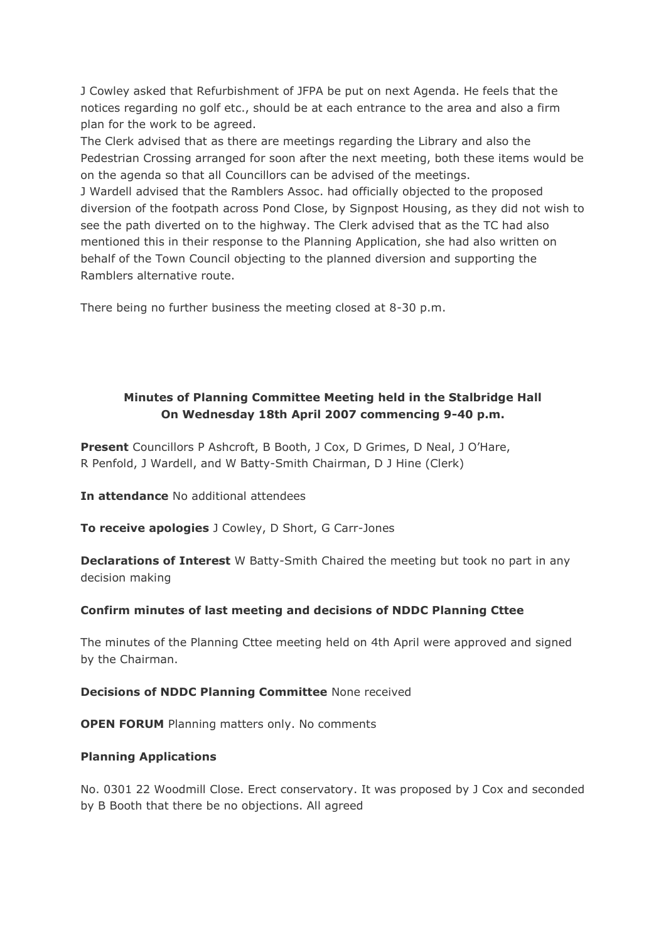J Cowley asked that Refurbishment of JFPA be put on next Agenda. He feels that the notices regarding no golf etc., should be at each entrance to the area and also a firm plan for the work to be agreed.

The Clerk advised that as there are meetings regarding the Library and also the Pedestrian Crossing arranged for soon after the next meeting, both these items would be on the agenda so that all Councillors can be advised of the meetings. J Wardell advised that the Ramblers Assoc. had officially objected to the proposed diversion of the footpath across Pond Close, by Signpost Housing, as they did not wish to see the path diverted on to the highway. The Clerk advised that as the TC had also mentioned this in their response to the Planning Application, she had also written on behalf of the Town Council objecting to the planned diversion and supporting the Ramblers alternative route.

There being no further business the meeting closed at 8-30 p.m.

# **Minutes of Planning Committee Meeting held in the Stalbridge Hall On Wednesday 18th April 2007 commencing 9-40 p.m.**

**Present** Councillors P Ashcroft, B Booth, J Cox, D Grimes, D Neal, J O'Hare, R Penfold, J Wardell, and W Batty-Smith Chairman, D J Hine (Clerk)

**In attendance** No additional attendees

**To receive apologies** J Cowley, D Short, G Carr-Jones

**Declarations of Interest** W Batty-Smith Chaired the meeting but took no part in any decision making

# **Confirm minutes of last meeting and decisions of NDDC Planning Cttee**

The minutes of the Planning Cttee meeting held on 4th April were approved and signed by the Chairman.

# **Decisions of NDDC Planning Committee** None received

**OPEN FORUM** Planning matters only. No comments

# **Planning Applications**

No. 0301 22 Woodmill Close. Erect conservatory. It was proposed by J Cox and seconded by B Booth that there be no objections. All agreed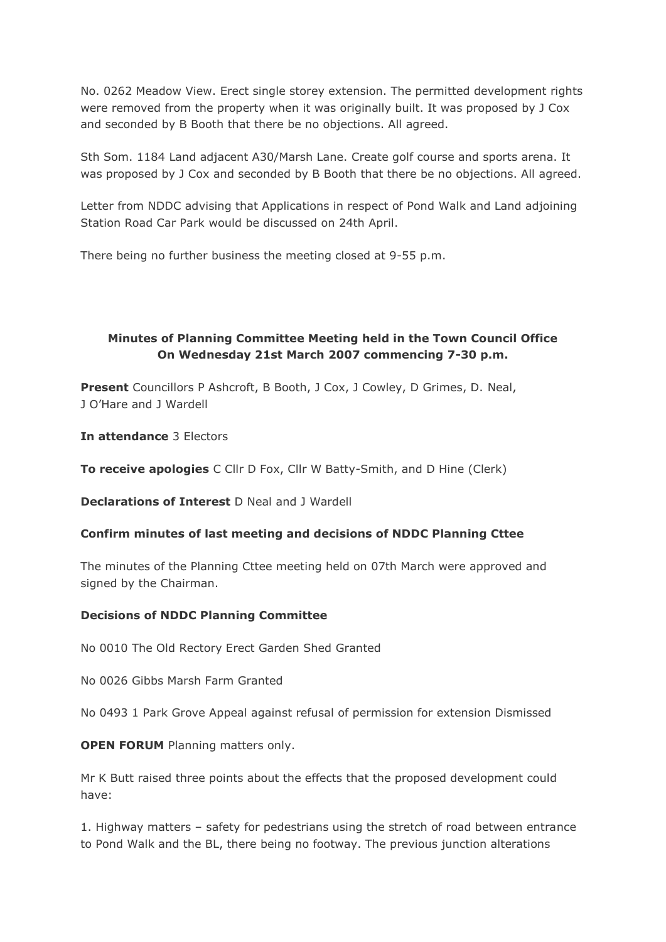No. 0262 Meadow View. Erect single storey extension. The permitted development rights were removed from the property when it was originally built. It was proposed by J Cox and seconded by B Booth that there be no objections. All agreed.

Sth Som. 1184 Land adjacent A30/Marsh Lane. Create golf course and sports arena. It was proposed by J Cox and seconded by B Booth that there be no objections. All agreed.

Letter from NDDC advising that Applications in respect of Pond Walk and Land adjoining Station Road Car Park would be discussed on 24th April.

There being no further business the meeting closed at 9-55 p.m.

# **Minutes of Planning Committee Meeting held in the Town Council Office On Wednesday 21st March 2007 commencing 7-30 p.m.**

**Present** Councillors P Ashcroft, B Booth, J Cox, J Cowley, D Grimes, D. Neal, J O'Hare and J Wardell

**In attendance** 3 Electors

**To receive apologies** C Cllr D Fox, Cllr W Batty-Smith, and D Hine (Clerk)

**Declarations of Interest** D Neal and J Wardell

#### **Confirm minutes of last meeting and decisions of NDDC Planning Cttee**

The minutes of the Planning Cttee meeting held on 07th March were approved and signed by the Chairman.

#### **Decisions of NDDC Planning Committee**

No 0010 The Old Rectory Erect Garden Shed Granted

No 0026 Gibbs Marsh Farm Granted

No 0493 1 Park Grove Appeal against refusal of permission for extension Dismissed

**OPEN FORUM** Planning matters only.

Mr K Butt raised three points about the effects that the proposed development could have:

1. Highway matters – safety for pedestrians using the stretch of road between entrance to Pond Walk and the BL, there being no footway. The previous junction alterations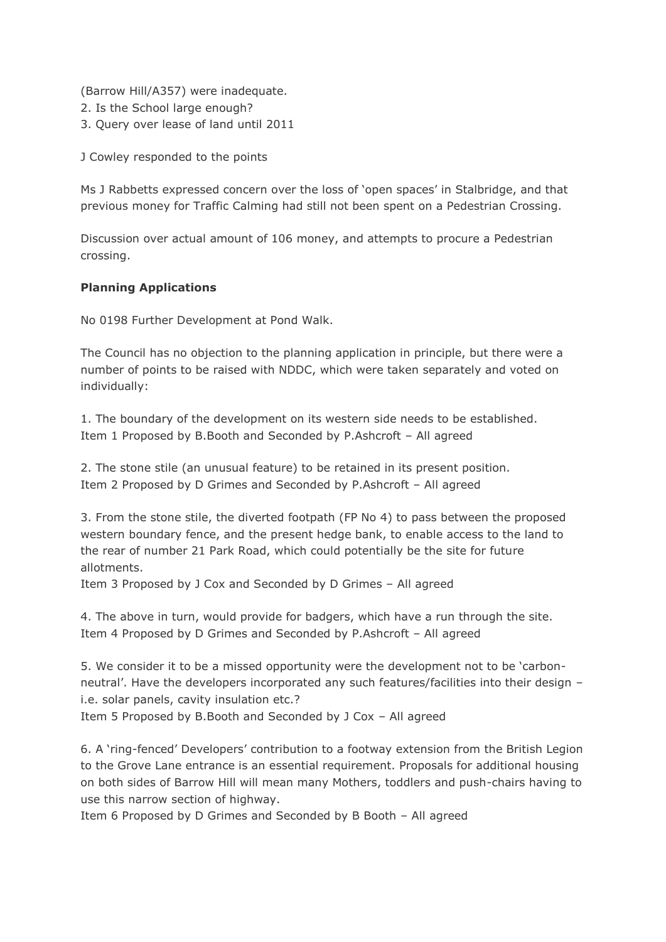(Barrow Hill/A357) were inadequate. 2. Is the School large enough? 3. Query over lease of land until 2011

J Cowley responded to the points

Ms J Rabbetts expressed concern over the loss of 'open spaces' in Stalbridge, and that previous money for Traffic Calming had still not been spent on a Pedestrian Crossing.

Discussion over actual amount of 106 money, and attempts to procure a Pedestrian crossing.

# **Planning Applications**

No 0198 Further Development at Pond Walk.

The Council has no objection to the planning application in principle, but there were a number of points to be raised with NDDC, which were taken separately and voted on individually:

1. The boundary of the development on its western side needs to be established. Item 1 Proposed by B.Booth and Seconded by P.Ashcroft – All agreed

2. The stone stile (an unusual feature) to be retained in its present position. Item 2 Proposed by D Grimes and Seconded by P.Ashcroft – All agreed

3. From the stone stile, the diverted footpath (FP No 4) to pass between the proposed western boundary fence, and the present hedge bank, to enable access to the land to the rear of number 21 Park Road, which could potentially be the site for future allotments.

Item 3 Proposed by J Cox and Seconded by D Grimes – All agreed

4. The above in turn, would provide for badgers, which have a run through the site. Item 4 Proposed by D Grimes and Seconded by P.Ashcroft – All agreed

5. We consider it to be a missed opportunity were the development not to be 'carbonneutral'. Have the developers incorporated any such features/facilities into their design – i.e. solar panels, cavity insulation etc.? Item 5 Proposed by B.Booth and Seconded by J Cox – All agreed

6. A 'ring-fenced' Developers' contribution to a footway extension from the British Legion to the Grove Lane entrance is an essential requirement. Proposals for additional housing on both sides of Barrow Hill will mean many Mothers, toddlers and push-chairs having to use this narrow section of highway.

Item 6 Proposed by D Grimes and Seconded by B Booth – All agreed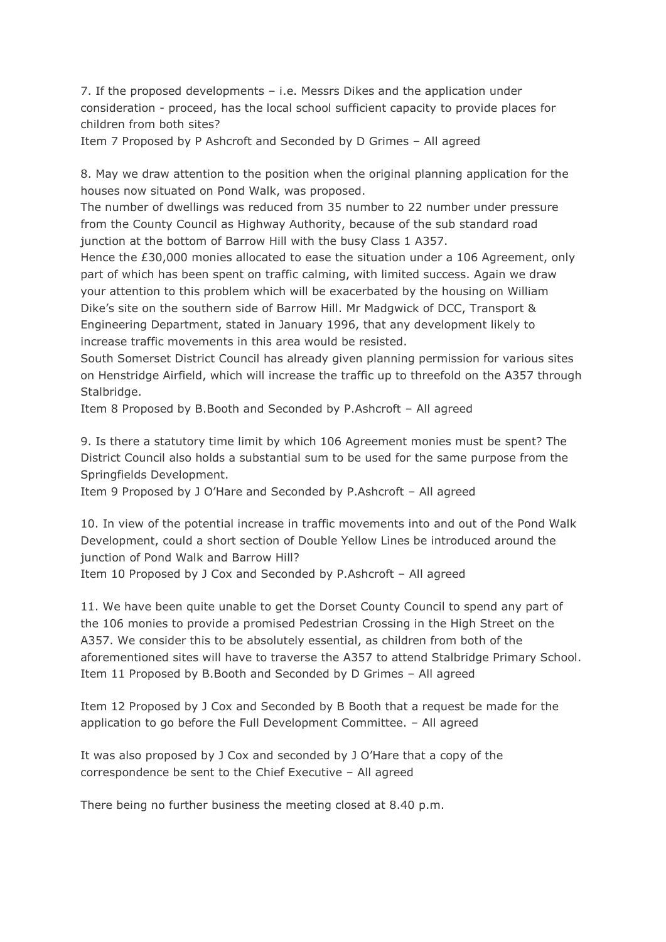7. If the proposed developments – i.e. Messrs Dikes and the application under consideration - proceed, has the local school sufficient capacity to provide places for children from both sites?

Item 7 Proposed by P Ashcroft and Seconded by D Grimes – All agreed

8. May we draw attention to the position when the original planning application for the houses now situated on Pond Walk, was proposed.

The number of dwellings was reduced from 35 number to 22 number under pressure from the County Council as Highway Authority, because of the sub standard road junction at the bottom of Barrow Hill with the busy Class 1 A357.

Hence the £30,000 monies allocated to ease the situation under a 106 Agreement, only part of which has been spent on traffic calming, with limited success. Again we draw your attention to this problem which will be exacerbated by the housing on William Dike's site on the southern side of Barrow Hill. Mr Madgwick of DCC, Transport & Engineering Department, stated in January 1996, that any development likely to increase traffic movements in this area would be resisted.

South Somerset District Council has already given planning permission for various sites on Henstridge Airfield, which will increase the traffic up to threefold on the A357 through Stalbridge.

Item 8 Proposed by B.Booth and Seconded by P.Ashcroft – All agreed

9. Is there a statutory time limit by which 106 Agreement monies must be spent? The District Council also holds a substantial sum to be used for the same purpose from the Springfields Development.

Item 9 Proposed by J O'Hare and Seconded by P.Ashcroft – All agreed

10. In view of the potential increase in traffic movements into and out of the Pond Walk Development, could a short section of Double Yellow Lines be introduced around the junction of Pond Walk and Barrow Hill? Item 10 Proposed by J Cox and Seconded by P.Ashcroft – All agreed

11. We have been quite unable to get the Dorset County Council to spend any part of the 106 monies to provide a promised Pedestrian Crossing in the High Street on the A357. We consider this to be absolutely essential, as children from both of the aforementioned sites will have to traverse the A357 to attend Stalbridge Primary School. Item 11 Proposed by B.Booth and Seconded by D Grimes – All agreed

Item 12 Proposed by J Cox and Seconded by B Booth that a request be made for the application to go before the Full Development Committee. – All agreed

It was also proposed by J Cox and seconded by J O'Hare that a copy of the correspondence be sent to the Chief Executive – All agreed

There being no further business the meeting closed at 8.40 p.m.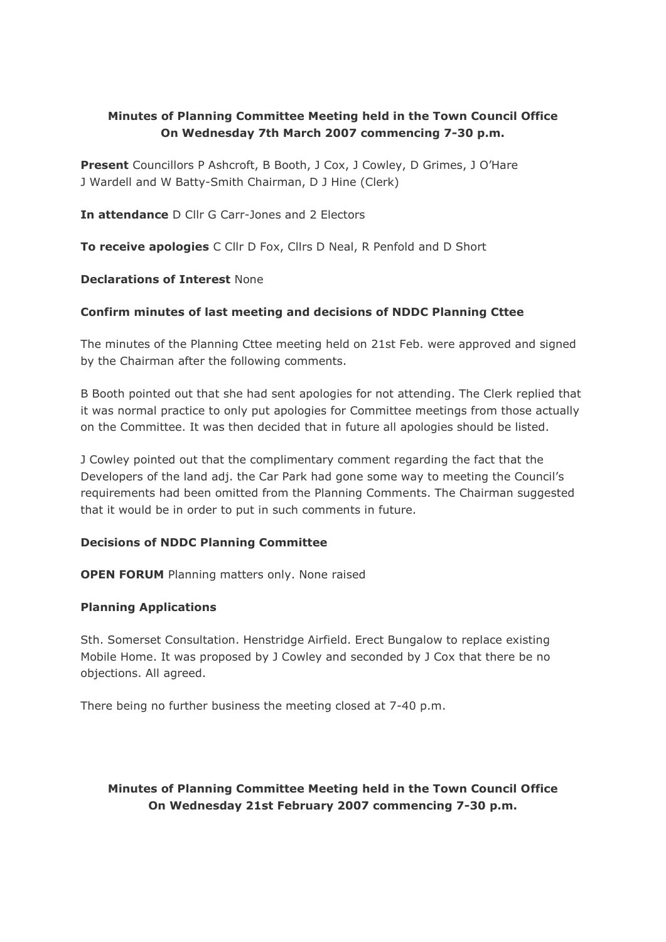# **Minutes of Planning Committee Meeting held in the Town Council Office On Wednesday 7th March 2007 commencing 7-30 p.m.**

**Present** Councillors P Ashcroft, B Booth, J Cox, J Cowley, D Grimes, J O'Hare J Wardell and W Batty-Smith Chairman, D J Hine (Clerk)

**In attendance** D Cllr G Carr-Jones and 2 Electors

**To receive apologies** C Cllr D Fox, Cllrs D Neal, R Penfold and D Short

#### **Declarations of Interest** None

#### **Confirm minutes of last meeting and decisions of NDDC Planning Cttee**

The minutes of the Planning Cttee meeting held on 21st Feb. were approved and signed by the Chairman after the following comments.

B Booth pointed out that she had sent apologies for not attending. The Clerk replied that it was normal practice to only put apologies for Committee meetings from those actually on the Committee. It was then decided that in future all apologies should be listed.

J Cowley pointed out that the complimentary comment regarding the fact that the Developers of the land adj. the Car Park had gone some way to meeting the Council's requirements had been omitted from the Planning Comments. The Chairman suggested that it would be in order to put in such comments in future.

#### **Decisions of NDDC Planning Committee**

**OPEN FORUM** Planning matters only. None raised

#### **Planning Applications**

Sth. Somerset Consultation. Henstridge Airfield. Erect Bungalow to replace existing Mobile Home. It was proposed by J Cowley and seconded by J Cox that there be no objections. All agreed.

There being no further business the meeting closed at 7-40 p.m.

# **Minutes of Planning Committee Meeting held in the Town Council Office On Wednesday 21st February 2007 commencing 7-30 p.m.**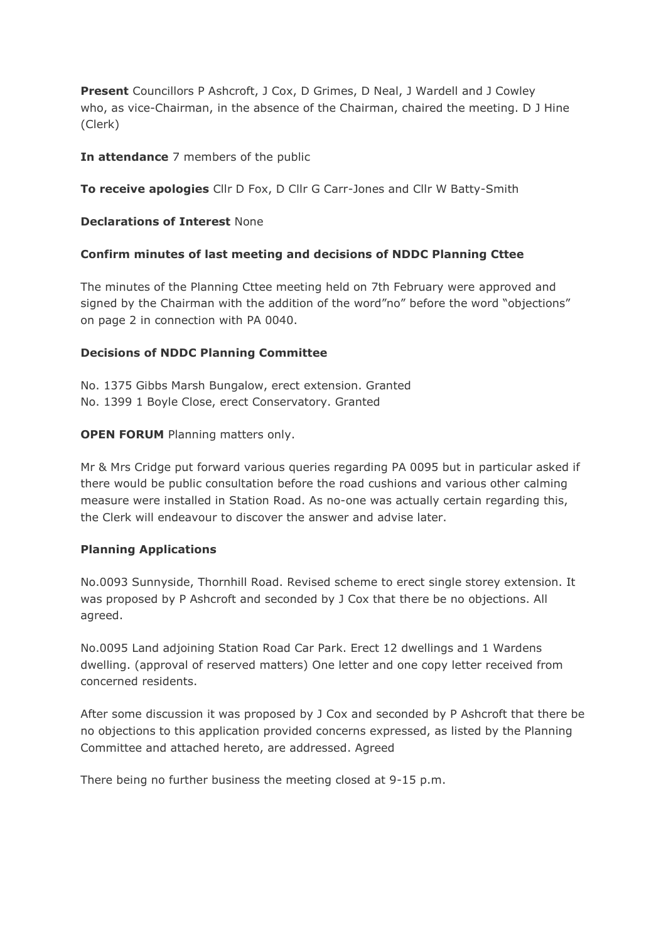**Present** Councillors P Ashcroft, J Cox, D Grimes, D Neal, J Wardell and J Cowley who, as vice-Chairman, in the absence of the Chairman, chaired the meeting. D J Hine (Clerk)

**In attendance** 7 members of the public

**To receive apologies** Cllr D Fox, D Cllr G Carr-Jones and Cllr W Batty-Smith

**Declarations of Interest** None

#### **Confirm minutes of last meeting and decisions of NDDC Planning Cttee**

The minutes of the Planning Cttee meeting held on 7th February were approved and signed by the Chairman with the addition of the word"no" before the word "objections" on page 2 in connection with PA 0040.

#### **Decisions of NDDC Planning Committee**

No. 1375 Gibbs Marsh Bungalow, erect extension. Granted No. 1399 1 Boyle Close, erect Conservatory. Granted

#### **OPEN FORUM** Planning matters only.

Mr & Mrs Cridge put forward various queries regarding PA 0095 but in particular asked if there would be public consultation before the road cushions and various other calming measure were installed in Station Road. As no-one was actually certain regarding this, the Clerk will endeavour to discover the answer and advise later.

#### **Planning Applications**

No.0093 Sunnyside, Thornhill Road. Revised scheme to erect single storey extension. It was proposed by P Ashcroft and seconded by J Cox that there be no objections. All agreed.

No.0095 Land adjoining Station Road Car Park. Erect 12 dwellings and 1 Wardens dwelling. (approval of reserved matters) One letter and one copy letter received from concerned residents.

After some discussion it was proposed by J Cox and seconded by P Ashcroft that there be no objections to this application provided concerns expressed, as listed by the Planning Committee and attached hereto, are addressed. Agreed

There being no further business the meeting closed at 9-15 p.m.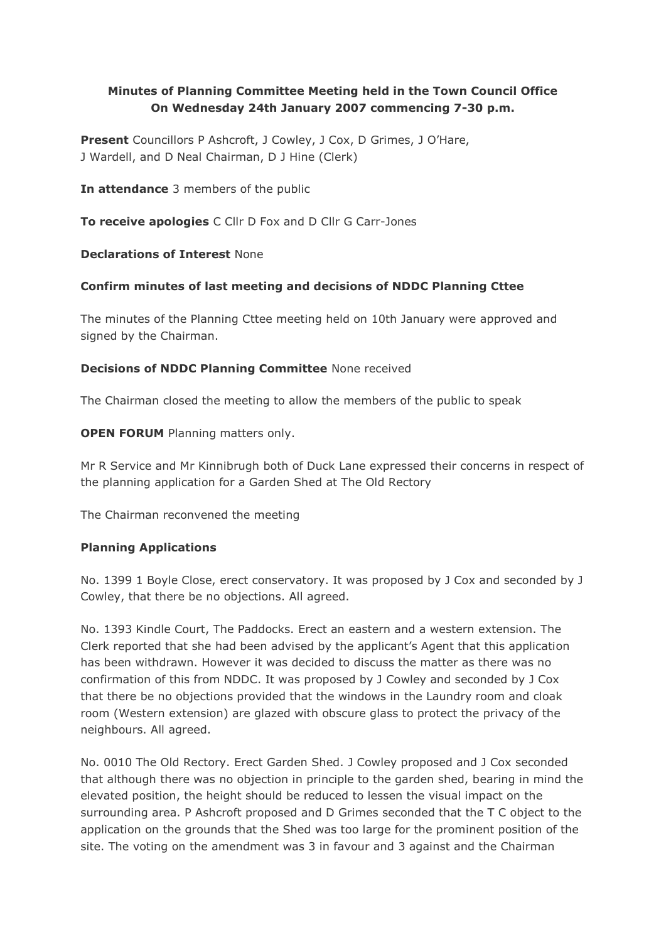# **Minutes of Planning Committee Meeting held in the Town Council Office On Wednesday 24th January 2007 commencing 7-30 p.m.**

**Present** Councillors P Ashcroft, J Cowley, J Cox, D Grimes, J O'Hare, J Wardell, and D Neal Chairman, D J Hine (Clerk)

**In attendance** 3 members of the public

**To receive apologies** C Cllr D Fox and D Cllr G Carr-Jones

# **Declarations of Interest** None

# **Confirm minutes of last meeting and decisions of NDDC Planning Cttee**

The minutes of the Planning Cttee meeting held on 10th January were approved and signed by the Chairman.

# **Decisions of NDDC Planning Committee** None received

The Chairman closed the meeting to allow the members of the public to speak

**OPEN FORUM** Planning matters only.

Mr R Service and Mr Kinnibrugh both of Duck Lane expressed their concerns in respect of the planning application for a Garden Shed at The Old Rectory

The Chairman reconvened the meeting

# **Planning Applications**

No. 1399 1 Boyle Close, erect conservatory. It was proposed by J Cox and seconded by J Cowley, that there be no objections. All agreed.

No. 1393 Kindle Court, The Paddocks. Erect an eastern and a western extension. The Clerk reported that she had been advised by the applicant's Agent that this application has been withdrawn. However it was decided to discuss the matter as there was no confirmation of this from NDDC. It was proposed by J Cowley and seconded by J Cox that there be no objections provided that the windows in the Laundry room and cloak room (Western extension) are glazed with obscure glass to protect the privacy of the neighbours. All agreed.

No. 0010 The Old Rectory. Erect Garden Shed. J Cowley proposed and J Cox seconded that although there was no objection in principle to the garden shed, bearing in mind the elevated position, the height should be reduced to lessen the visual impact on the surrounding area. P Ashcroft proposed and D Grimes seconded that the T C object to the application on the grounds that the Shed was too large for the prominent position of the site. The voting on the amendment was 3 in favour and 3 against and the Chairman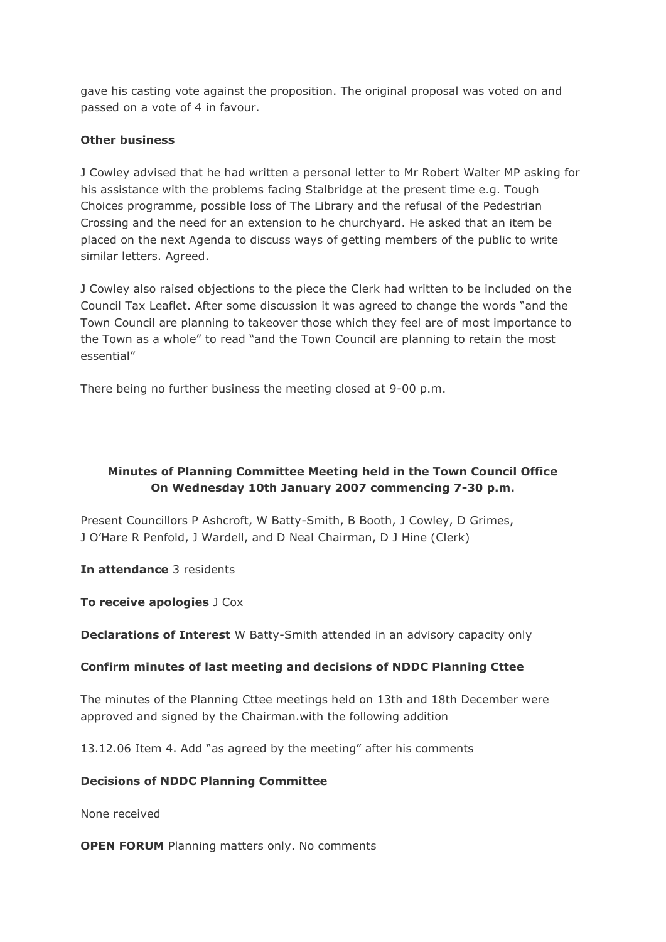gave his casting vote against the proposition. The original proposal was voted on and passed on a vote of 4 in favour.

# **Other business**

J Cowley advised that he had written a personal letter to Mr Robert Walter MP asking for his assistance with the problems facing Stalbridge at the present time e.g. Tough Choices programme, possible loss of The Library and the refusal of the Pedestrian Crossing and the need for an extension to he churchyard. He asked that an item be placed on the next Agenda to discuss ways of getting members of the public to write similar letters. Agreed.

J Cowley also raised objections to the piece the Clerk had written to be included on the Council Tax Leaflet. After some discussion it was agreed to change the words "and the Town Council are planning to takeover those which they feel are of most importance to the Town as a whole" to read "and the Town Council are planning to retain the most essential"

There being no further business the meeting closed at 9-00 p.m.

# **Minutes of Planning Committee Meeting held in the Town Council Office On Wednesday 10th January 2007 commencing 7-30 p.m.**

Present Councillors P Ashcroft, W Batty-Smith, B Booth, J Cowley, D Grimes, J O'Hare R Penfold, J Wardell, and D Neal Chairman, D J Hine (Clerk)

**In attendance** 3 residents

**To receive apologies** J Cox

**Declarations of Interest** W Batty-Smith attended in an advisory capacity only

# **Confirm minutes of last meeting and decisions of NDDC Planning Cttee**

The minutes of the Planning Cttee meetings held on 13th and 18th December were approved and signed by the Chairman.with the following addition

13.12.06 Item 4. Add "as agreed by the meeting" after his comments

# **Decisions of NDDC Planning Committee**

None received

**OPEN FORUM** Planning matters only. No comments